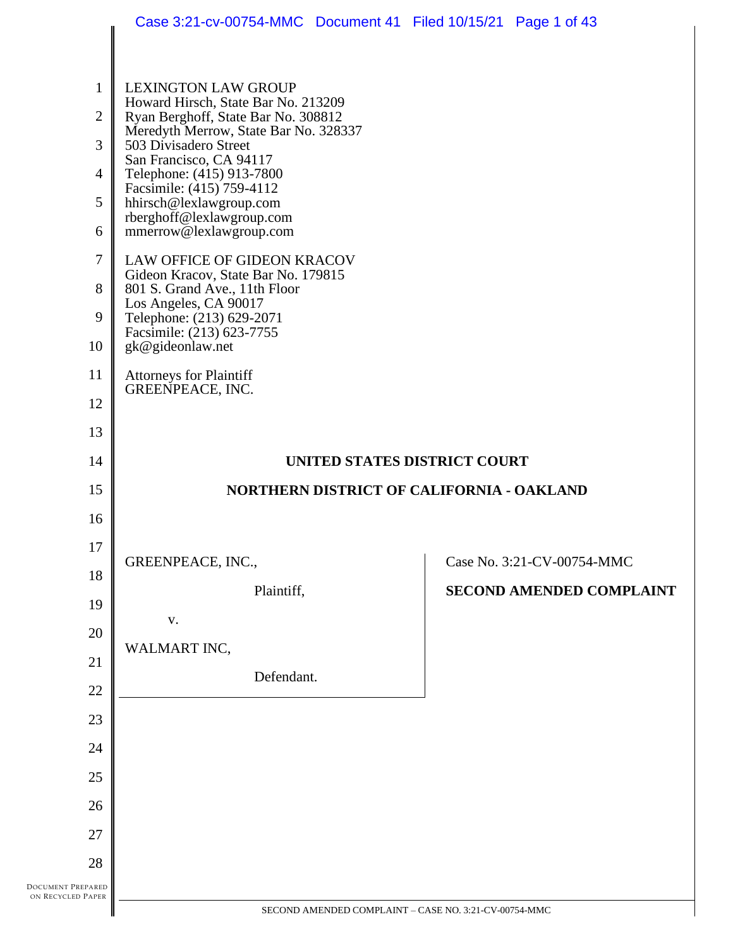|                      | Case 3:21-cv-00754-MMC  Document 41  Filed 10/15/21  Page 1 of 43                                                                                                                                     |                                 |
|----------------------|-------------------------------------------------------------------------------------------------------------------------------------------------------------------------------------------------------|---------------------------------|
| 1<br>2<br>3          | <b>LEXINGTON LAW GROUP</b><br>Howard Hirsch, State Bar No. 213209<br>Ryan Berghoff, State Bar No. 308812<br>Meredyth Merrow, State Bar No. 328337<br>503 Divisadero Street<br>San Francisco, CA 94117 |                                 |
| 4                    | Telephone: (415) 913-7800<br>Facsimile: (415) 759-4112                                                                                                                                                |                                 |
| 5                    | hhirsch@lexlawgroup.com<br>rberghoff@lexlawgroup.com                                                                                                                                                  |                                 |
| 6<br>7               | mmerrow@lexlawgroup.com<br>LAW OFFICE OF GIDEON KRACOV                                                                                                                                                |                                 |
| 8                    | Gideon Kracov, State Bar No. 179815<br>801 S. Grand Ave., 11th Floor                                                                                                                                  |                                 |
| 9                    | Los Angeles, CA 90017<br>Telephone: (213) 629-2071                                                                                                                                                    |                                 |
| 10                   | Facsimile: (213) 623-7755<br>gk@gideonlaw.net                                                                                                                                                         |                                 |
| 11                   | <b>Attorneys for Plaintiff</b><br><b>GREENPEACE, INC.</b>                                                                                                                                             |                                 |
| 12                   |                                                                                                                                                                                                       |                                 |
| 13                   |                                                                                                                                                                                                       |                                 |
| 14                   | UNITED STATES DISTRICT COURT                                                                                                                                                                          |                                 |
| 15                   | <b>NORTHERN DISTRICT OF CALIFORNIA - OAKLAND</b>                                                                                                                                                      |                                 |
| 16                   |                                                                                                                                                                                                       |                                 |
| 17                   | GREENPEACE, INC.,                                                                                                                                                                                     | Case No. 3:21-CV-00754-MMC      |
| 18                   | Plaintiff,                                                                                                                                                                                            | <b>SECOND AMENDED COMPLAINT</b> |
| 19                   | V.                                                                                                                                                                                                    |                                 |
| 20                   | WALMART INC,                                                                                                                                                                                          |                                 |
| 21                   | Defendant.                                                                                                                                                                                            |                                 |
| 22<br>23             |                                                                                                                                                                                                       |                                 |
| 24                   |                                                                                                                                                                                                       |                                 |
| 25                   |                                                                                                                                                                                                       |                                 |
| 26                   |                                                                                                                                                                                                       |                                 |
| 27                   |                                                                                                                                                                                                       |                                 |
| 28                   |                                                                                                                                                                                                       |                                 |
| PREPARED<br>ed Paper |                                                                                                                                                                                                       |                                 |
|                      | SECOND AMENDED COMPLAINT - CASE NO. 3:21-CV-00754-MMC                                                                                                                                                 |                                 |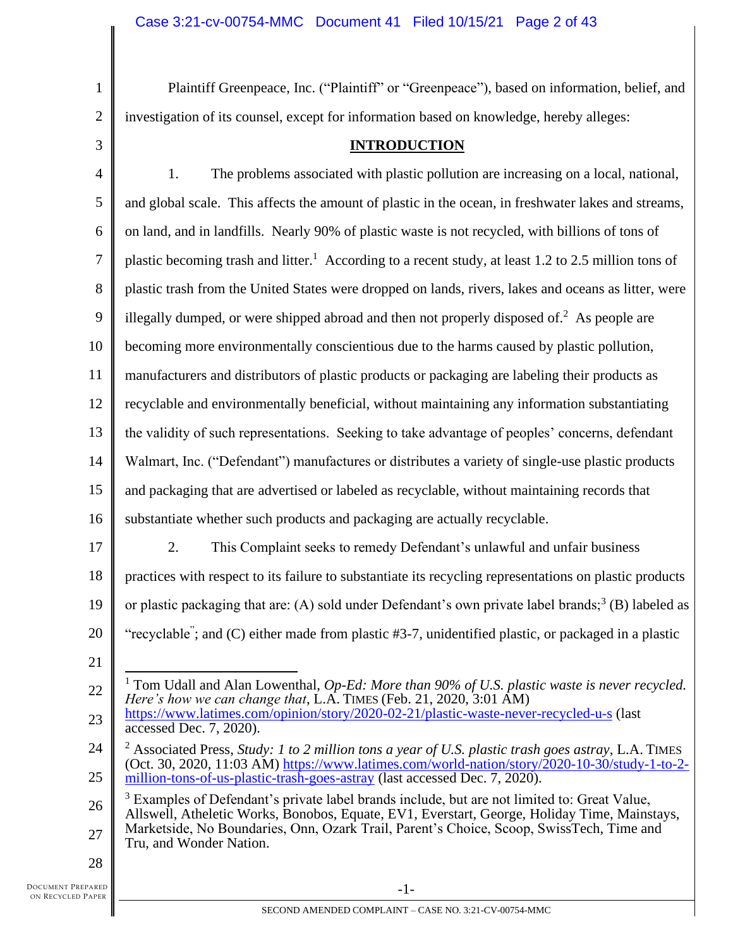1 2 3

Plaintiff Greenpeace, Inc. ("Plaintiff" or "Greenpeace"), based on information, belief, and investigation of its counsel, except for information based on knowledge, hereby alleges:

**INTRODUCTION**

4 5 6 7 8 9 10 11 12 13 14 15 16 17 18 19 20 21 22 23 24 25 26 27 28 1. The problems associated with plastic pollution are increasing on a local, national, and global scale. This affects the amount of plastic in the ocean, in freshwater lakes and streams, on land, and in landfills. Nearly 90% of plastic waste is not recycled, with billions of tons of plastic becoming trash and litter.<sup>1</sup> According to a recent study, at least 1.2 to 2.5 million tons of plastic trash from the United States were dropped on lands, rivers, lakes and oceans as litter, were illegally dumped, or were shipped abroad and then not properly disposed of.<sup>2</sup> As people are becoming more environmentally conscientious due to the harms caused by plastic pollution, manufacturers and distributors of plastic products or packaging are labeling their products as recyclable and environmentally beneficial, without maintaining any information substantiating the validity of such representations. Seeking to take advantage of peoples' concerns, defendant Walmart, Inc. ("Defendant") manufactures or distributes a variety of single-use plastic products and packaging that are advertised or labeled as recyclable, without maintaining records that substantiate whether such products and packaging are actually recyclable. 2. This Complaint seeks to remedy Defendant's unlawful and unfair business practices with respect to its failure to substantiate its recycling representations on plastic products or plastic packaging that are: (A) sold under Defendant's own private label brands;<sup>3</sup> (B) labeled as "recyclable"; and (C) either made from plastic #3-7, unidentified plastic, or packaged in a plastic <sup>1</sup> Tom Udall and Alan Lowenthal, *Op-Ed: More than 90% of U.S. plastic waste is never recycled. Here's how we can change that*, L.A. TIMES (Feb. 21, 2020, 3:01 AM) <https://www.latimes.com/opinion/story/2020-02-21/plastic-waste-never-recycled-u-s> (last accessed Dec. 7, 2020). <sup>2</sup> Associated Press, *Study: 1 to 2 million tons a year of U.S. plastic trash goes astray*, L.A. TIMES (Oct. 30, 2020, 11:03 AM) [https://www.latimes.com/world-nation/story/2020-10-30/study-1-to-2](https://www.latimes.com/world-nation/story/2020-10-30/study-1-to-2-million-tons-of-us-plastic-trash-goes-astray) [million-tons-of-us-plastic-trash-goes-astray](https://www.latimes.com/world-nation/story/2020-10-30/study-1-to-2-million-tons-of-us-plastic-trash-goes-astray) (last accessed Dec. 7, 2020).  $3$  Examples of Defendant's private label brands include, but are not limited to: Great Value, Allswell, Atheletic Works, Bonobos, Equate, EV1, Everstart, George, Holiday Time, Mainstays, Marketside, No Boundaries, Onn, Ozark Trail, Parent's Choice, Scoop, SwissTech, Time and Tru, and Wonder Nation.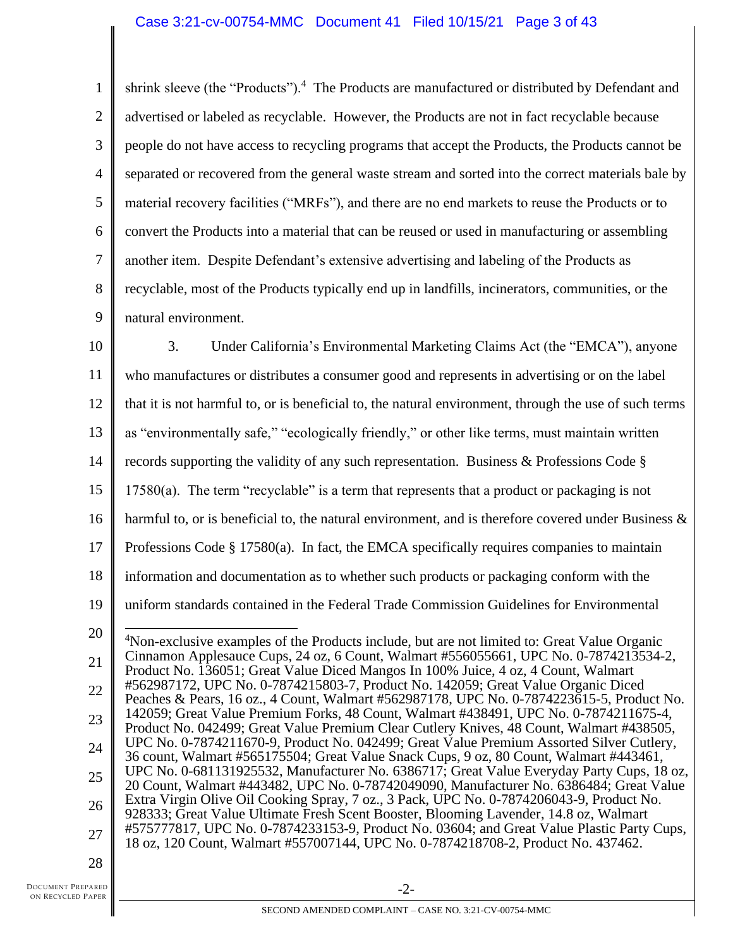1 2 3 4 5 6 7 8 9 shrink sleeve (the "Products").<sup>4</sup> The Products are manufactured or distributed by Defendant and advertised or labeled as recyclable. However, the Products are not in fact recyclable because people do not have access to recycling programs that accept the Products, the Products cannot be separated or recovered from the general waste stream and sorted into the correct materials bale by material recovery facilities ("MRFs"), and there are no end markets to reuse the Products or to convert the Products into a material that can be reused or used in manufacturing or assembling another item. Despite Defendant's extensive advertising and labeling of the Products as recyclable, most of the Products typically end up in landfills, incinerators, communities, or the natural environment.

10 11 12 13 14 15 16 17 18 19 20 21 22 23 24 25 26 27 28 3. Under California's Environmental Marketing Claims Act (the "EMCA"), anyone who manufactures or distributes a consumer good and represents in advertising or on the label that it is not harmful to, or is beneficial to, the natural environment, through the use of such terms as "environmentally safe," "ecologically friendly," or other like terms, must maintain written records supporting the validity of any such representation. Business & Professions Code § 17580(a). The term "recyclable" is a term that represents that a product or packaging is not harmful to, or is beneficial to, the natural environment, and is therefore covered under Business  $\&$ Professions Code  $\S 17580(a)$ . In fact, the EMCA specifically requires companies to maintain information and documentation as to whether such products or packaging conform with the uniform standards contained in the Federal Trade Commission Guidelines for Environmental <sup>4</sup>Non-exclusive examples of the Products include, but are not limited to: Great Value Organic Cinnamon Applesauce Cups, 24 oz, 6 Count, Walmart #556055661, UPC No. 0-7874213534-2, Product No. 136051; Great Value Diced Mangos In 100% Juice, 4 oz, 4 Count, Walmart #562987172, UPC No. 0-7874215803-7, Product No. 142059; Great Value Organic Diced Peaches & Pears, 16 oz., 4 Count, Walmart #562987178, UPC No. 0-7874223615-5, Product No. 142059; Great Value Premium Forks, 48 Count, Walmart #438491, UPC No. 0-7874211675-4, Product No. 042499; Great Value Premium Clear Cutlery Knives, 48 Count, Walmart #438505, UPC No. 0-7874211670-9, Product No. 042499; Great Value Premium Assorted Silver Cutlery, 36 count, Walmart #565175504; Great Value Snack Cups, 9 oz, 80 Count, Walmart #443461, UPC No. 0-681131925532, Manufacturer No. 6386717; Great Value Everyday Party Cups, 18 oz, 20 Count, Walmart #443482, UPC No. 0-78742049090, Manufacturer No. 6386484; Great Value Extra Virgin Olive Oil Cooking Spray, 7 oz., 3 Pack, UPC No. 0-7874206043-9, Product No. 928333; Great Value Ultimate Fresh Scent Booster, Blooming Lavender, 14.8 oz, Walmart #575777817, UPC No. 0-7874233153-9, Product No. 03604; and Great Value Plastic Party Cups, 18 oz, 120 Count, Walmart #557007144, UPC No. 0-7874218708-2, Product No. 437462.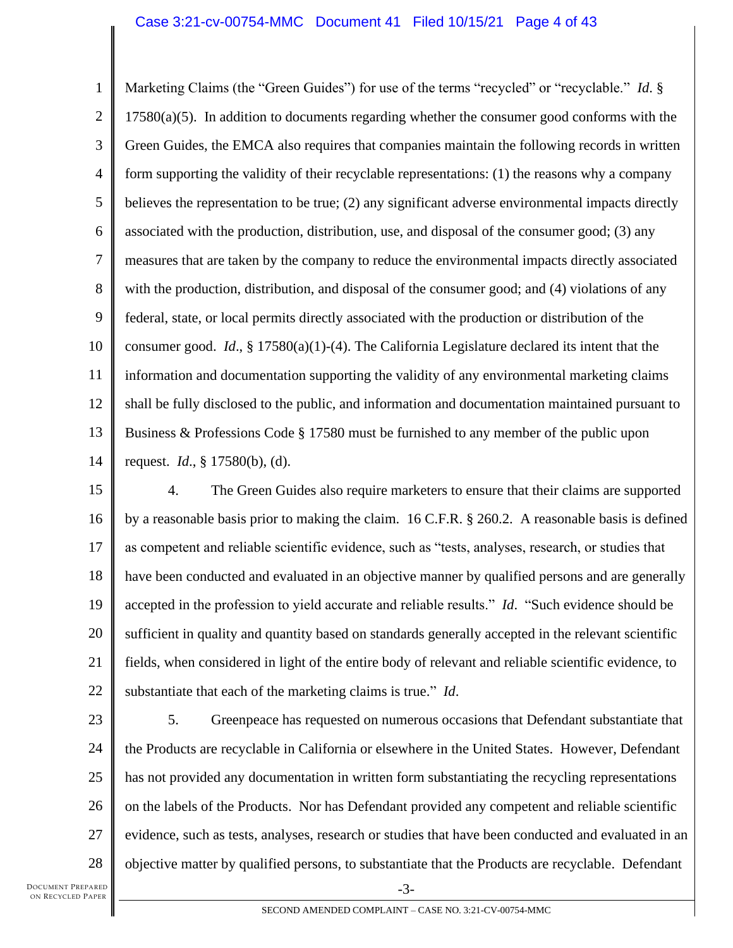#### Case 3:21-cv-00754-MMC Document 41 Filed 10/15/21 Page 4 of 43

1 2 3 4 5 6 7 8 9 10 11 12 13 14 Marketing Claims (the "Green Guides") for use of the terms "recycled" or "recyclable." *Id*. §  $17580(a)(5)$ . In addition to documents regarding whether the consumer good conforms with the Green Guides, the EMCA also requires that companies maintain the following records in written form supporting the validity of their recyclable representations: (1) the reasons why a company believes the representation to be true; (2) any significant adverse environmental impacts directly associated with the production, distribution, use, and disposal of the consumer good; (3) any measures that are taken by the company to reduce the environmental impacts directly associated with the production, distribution, and disposal of the consumer good; and (4) violations of any federal, state, or local permits directly associated with the production or distribution of the consumer good. *Id*., § 17580(a)(1)-(4). The California Legislature declared its intent that the information and documentation supporting the validity of any environmental marketing claims shall be fully disclosed to the public, and information and documentation maintained pursuant to Business & Professions Code § 17580 must be furnished to any member of the public upon request. *Id*., § 17580(b), (d).

- 15 16 17 18 19 20 21 22 4. The Green Guides also require marketers to ensure that their claims are supported by a reasonable basis prior to making the claim. 16 C.F.R. § 260.2. A reasonable basis is defined as competent and reliable scientific evidence, such as "tests, analyses, research, or studies that have been conducted and evaluated in an objective manner by qualified persons and are generally accepted in the profession to yield accurate and reliable results." *Id*. "Such evidence should be sufficient in quality and quantity based on standards generally accepted in the relevant scientific fields, when considered in light of the entire body of relevant and reliable scientific evidence, to substantiate that each of the marketing claims is true." *Id*.
- 23 24 25 26 27 28 5. Greenpeace has requested on numerous occasions that Defendant substantiate that the Products are recyclable in California or elsewhere in the United States. However, Defendant has not provided any documentation in written form substantiating the recycling representations on the labels of the Products. Nor has Defendant provided any competent and reliable scientific evidence, such as tests, analyses, research or studies that have been conducted and evaluated in an objective matter by qualified persons, to substantiate that the Products are recyclable. Defendant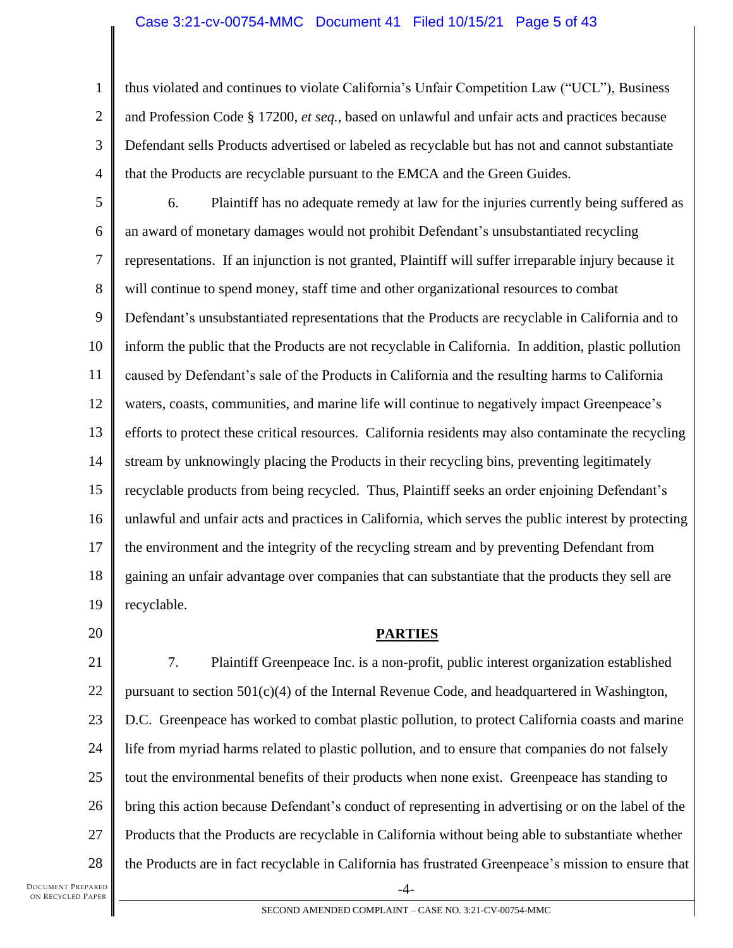#### Case 3:21-cv-00754-MMC Document 41 Filed 10/15/21 Page 5 of 43

1 2 3 4 thus violated and continues to violate California's Unfair Competition Law ("UCL"), Business and Profession Code § 17200, *et seq.*, based on unlawful and unfair acts and practices because Defendant sells Products advertised or labeled as recyclable but has not and cannot substantiate that the Products are recyclable pursuant to the EMCA and the Green Guides.

5 6 7 8 9 10 11 12 13 14 15 16 17 18 19 6. Plaintiff has no adequate remedy at law for the injuries currently being suffered as an award of monetary damages would not prohibit Defendant's unsubstantiated recycling representations. If an injunction is not granted, Plaintiff will suffer irreparable injury because it will continue to spend money, staff time and other organizational resources to combat Defendant's unsubstantiated representations that the Products are recyclable in California and to inform the public that the Products are not recyclable in California. In addition, plastic pollution caused by Defendant's sale of the Products in California and the resulting harms to California waters, coasts, communities, and marine life will continue to negatively impact Greenpeace's efforts to protect these critical resources. California residents may also contaminate the recycling stream by unknowingly placing the Products in their recycling bins, preventing legitimately recyclable products from being recycled. Thus, Plaintiff seeks an order enjoining Defendant's unlawful and unfair acts and practices in California, which serves the public interest by protecting the environment and the integrity of the recycling stream and by preventing Defendant from gaining an unfair advantage over companies that can substantiate that the products they sell are recyclable.

20

# **PARTIES**

21 22 23 24 25 26 27 28 -4- 7. Plaintiff Greenpeace Inc. is a non-profit, public interest organization established pursuant to section 501(c)(4) of the Internal Revenue Code, and headquartered in Washington, D.C. Greenpeace has worked to combat plastic pollution, to protect California coasts and marine life from myriad harms related to plastic pollution, and to ensure that companies do not falsely tout the environmental benefits of their products when none exist. Greenpeace has standing to bring this action because Defendant's conduct of representing in advertising or on the label of the Products that the Products are recyclable in California without being able to substantiate whether the Products are in fact recyclable in California has frustrated Greenpeace's mission to ensure that

DOCUMENT PREPARED ON RECYCLED PAPER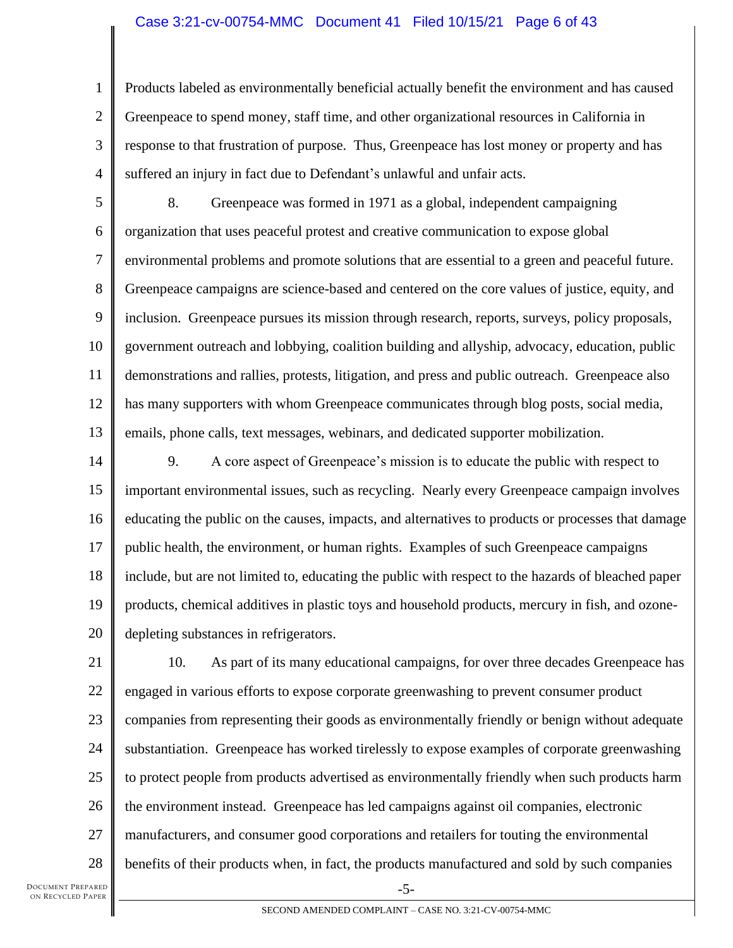### Case 3:21-cv-00754-MMC Document 41 Filed 10/15/21 Page 6 of 43

1 2 3 4 Products labeled as environmentally beneficial actually benefit the environment and has caused Greenpeace to spend money, staff time, and other organizational resources in California in response to that frustration of purpose. Thus, Greenpeace has lost money or property and has suffered an injury in fact due to Defendant's unlawful and unfair acts.

5 6 7 8 9 10 11 12 13 8. Greenpeace was formed in 1971 as a global, independent campaigning organization that uses peaceful protest and creative communication to expose global environmental problems and promote solutions that are essential to a green and peaceful future. Greenpeace campaigns are science-based and centered on the core values of justice, equity, and inclusion. Greenpeace pursues its mission through research, reports, surveys, policy proposals, government outreach and lobbying, coalition building and allyship, advocacy, education, public demonstrations and rallies, protests, litigation, and press and public outreach. Greenpeace also has many supporters with whom Greenpeace communicates through blog posts, social media, emails, phone calls, text messages, webinars, and dedicated supporter mobilization.

14 15 16 17 18 19 20 9. A core aspect of Greenpeace's mission is to educate the public with respect to important environmental issues, such as recycling. Nearly every Greenpeace campaign involves educating the public on the causes, impacts, and alternatives to products or processes that damage public health, the environment, or human rights. Examples of such Greenpeace campaigns include, but are not limited to, educating the public with respect to the hazards of bleached paper products, chemical additives in plastic toys and household products, mercury in fish, and ozonedepleting substances in refrigerators.

21 22 23 24 25 26 27 28 -5- 10. As part of its many educational campaigns, for over three decades Greenpeace has engaged in various efforts to expose corporate greenwashing to prevent consumer product companies from representing their goods as environmentally friendly or benign without adequate substantiation. Greenpeace has worked tirelessly to expose examples of corporate greenwashing to protect people from products advertised as environmentally friendly when such products harm the environment instead. Greenpeace has led campaigns against oil companies, electronic manufacturers, and consumer good corporations and retailers for touting the environmental benefits of their products when, in fact, the products manufactured and sold by such companies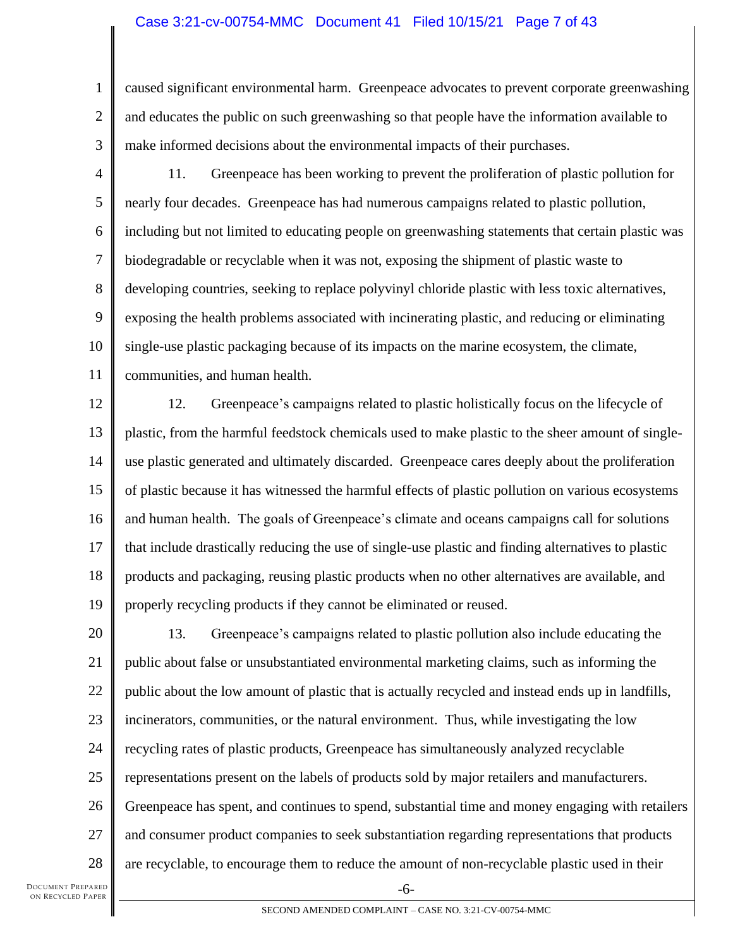### Case 3:21-cv-00754-MMC Document 41 Filed 10/15/21 Page 7 of 43

1 2 3 caused significant environmental harm. Greenpeace advocates to prevent corporate greenwashing and educates the public on such greenwashing so that people have the information available to make informed decisions about the environmental impacts of their purchases.

4

5 6 7 8 9 10 11 11. Greenpeace has been working to prevent the proliferation of plastic pollution for nearly four decades. Greenpeace has had numerous campaigns related to plastic pollution, including but not limited to educating people on greenwashing statements that certain plastic was biodegradable or recyclable when it was not, exposing the shipment of plastic waste to developing countries, seeking to replace polyvinyl chloride plastic with less toxic alternatives, exposing the health problems associated with incinerating plastic, and reducing or eliminating single-use plastic packaging because of its impacts on the marine ecosystem, the climate, communities, and human health.

12 13 14 15 16 17 18 19 12. Greenpeace's campaigns related to plastic holistically focus on the lifecycle of plastic, from the harmful feedstock chemicals used to make plastic to the sheer amount of singleuse plastic generated and ultimately discarded. Greenpeace cares deeply about the proliferation of plastic because it has witnessed the harmful effects of plastic pollution on various ecosystems and human health. The goals of Greenpeace's climate and oceans campaigns call for solutions that include drastically reducing the use of single-use plastic and finding alternatives to plastic products and packaging, reusing plastic products when no other alternatives are available, and properly recycling products if they cannot be eliminated or reused.

20 21 22 23 24 25 26 27 28 13. Greenpeace's campaigns related to plastic pollution also include educating the public about false or unsubstantiated environmental marketing claims, such as informing the public about the low amount of plastic that is actually recycled and instead ends up in landfills, incinerators, communities, or the natural environment. Thus, while investigating the low recycling rates of plastic products, Greenpeace has simultaneously analyzed recyclable representations present on the labels of products sold by major retailers and manufacturers. Greenpeace has spent, and continues to spend, substantial time and money engaging with retailers and consumer product companies to seek substantiation regarding representations that products are recyclable, to encourage them to reduce the amount of non-recyclable plastic used in their

DOCUMENT PREPARED ON RECYCLED PAPER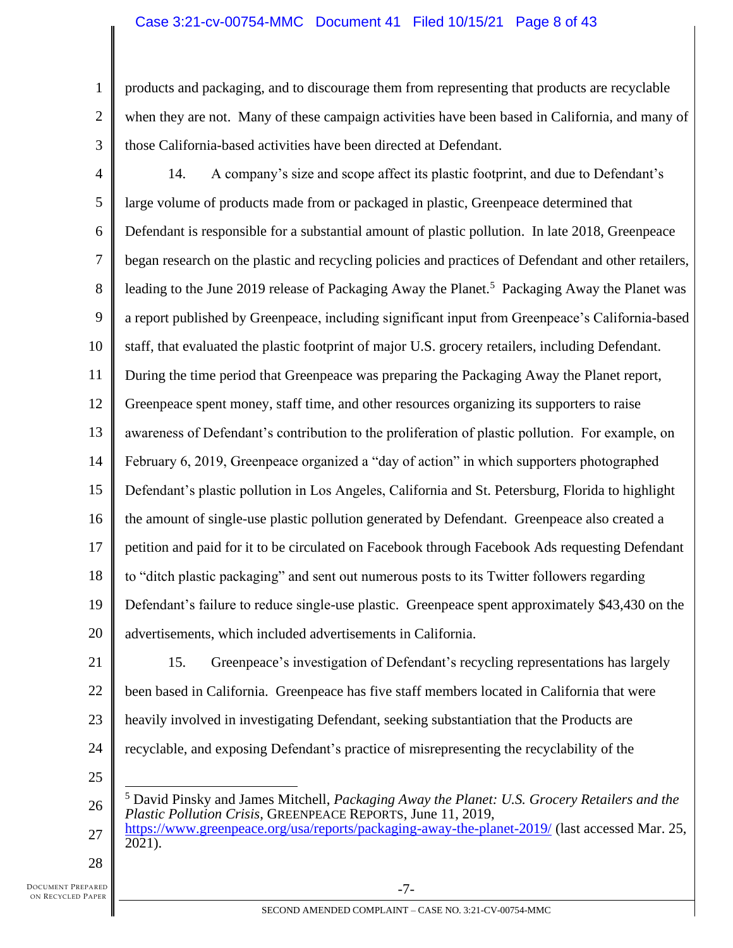## Case 3:21-cv-00754-MMC Document 41 Filed 10/15/21 Page 8 of 43

1 2 3 products and packaging, and to discourage them from representing that products are recyclable when they are not. Many of these campaign activities have been based in California, and many of those California-based activities have been directed at Defendant.

14. A company's size and scope affect its plastic footprint, and due to Defendant's

4

5 6 7 8 9 10 11 12 13 14 15 16 17 18 19 20 large volume of products made from or packaged in plastic, Greenpeace determined that Defendant is responsible for a substantial amount of plastic pollution. In late 2018, Greenpeace began research on the plastic and recycling policies and practices of Defendant and other retailers, leading to the June 2019 release of Packaging Away the Planet.<sup>5</sup> Packaging Away the Planet was a report published by Greenpeace, including significant input from Greenpeace's California-based staff, that evaluated the plastic footprint of major U.S. grocery retailers, including Defendant. During the time period that Greenpeace was preparing the Packaging Away the Planet report, Greenpeace spent money, staff time, and other resources organizing its supporters to raise awareness of Defendant's contribution to the proliferation of plastic pollution. For example, on February 6, 2019, Greenpeace organized a "day of action" in which supporters photographed Defendant's plastic pollution in Los Angeles, California and St. Petersburg, Florida to highlight the amount of single-use plastic pollution generated by Defendant. Greenpeace also created a petition and paid for it to be circulated on Facebook through Facebook Ads requesting Defendant to "ditch plastic packaging" and sent out numerous posts to its Twitter followers regarding Defendant's failure to reduce single-use plastic. Greenpeace spent approximately \$43,430 on the advertisements, which included advertisements in California.

21

22

23

24

15. Greenpeace's investigation of Defendant's recycling representations has largely been based in California. Greenpeace has five staff members located in California that were heavily involved in investigating Defendant, seeking substantiation that the Products are recyclable, and exposing Defendant's practice of misrepresenting the recyclability of the

25

26 27 <sup>5</sup> David Pinsky and James Mitchell, *Packaging Away the Planet: U.S. Grocery Retailers and the Plastic Pollution Crisis*, GREENPEACE REPORTS, June 11, 2019, <https://www.greenpeace.org/usa/reports/packaging-away-the-planet-2019/> (last accessed Mar. 25, 2021).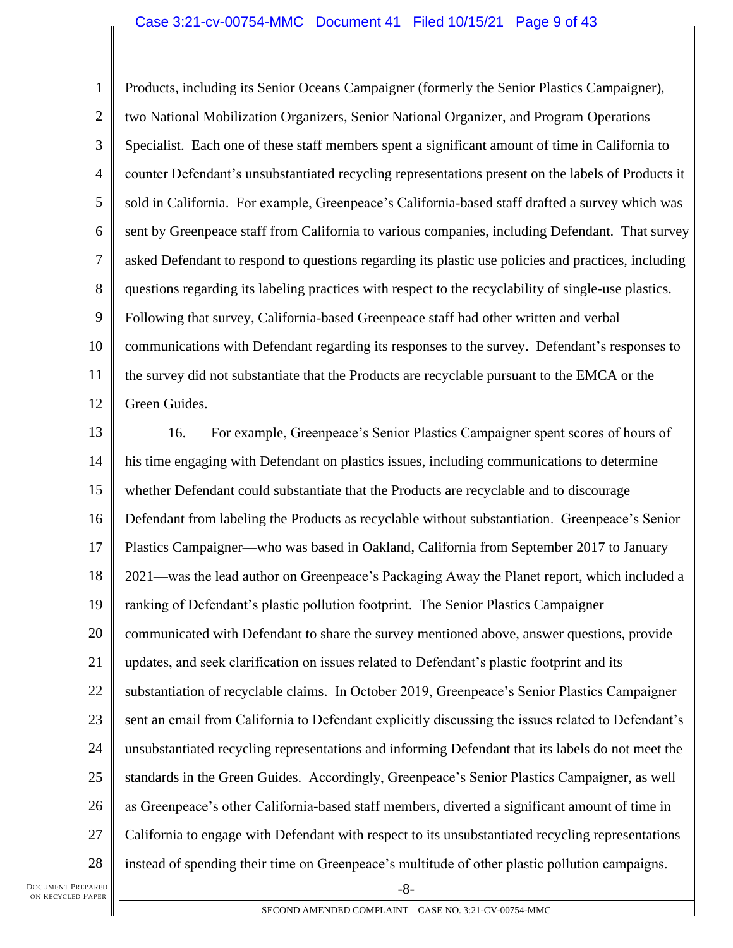#### Case 3:21-cv-00754-MMC Document 41 Filed 10/15/21 Page 9 of 43

1 2 3 4 5 6 7 8 9 10 11 12 Products, including its Senior Oceans Campaigner (formerly the Senior Plastics Campaigner), two National Mobilization Organizers, Senior National Organizer, and Program Operations Specialist. Each one of these staff members spent a significant amount of time in California to counter Defendant's unsubstantiated recycling representations present on the labels of Products it sold in California. For example, Greenpeace's California-based staff drafted a survey which was sent by Greenpeace staff from California to various companies, including Defendant. That survey asked Defendant to respond to questions regarding its plastic use policies and practices, including questions regarding its labeling practices with respect to the recyclability of single-use plastics. Following that survey, California-based Greenpeace staff had other written and verbal communications with Defendant regarding its responses to the survey. Defendant's responses to the survey did not substantiate that the Products are recyclable pursuant to the EMCA or the Green Guides.

13 14 15 16 17 18 19 20 21 22 23 24 25 26 27 28 16. For example, Greenpeace's Senior Plastics Campaigner spent scores of hours of his time engaging with Defendant on plastics issues, including communications to determine whether Defendant could substantiate that the Products are recyclable and to discourage Defendant from labeling the Products as recyclable without substantiation. Greenpeace's Senior Plastics Campaigner—who was based in Oakland, California from September 2017 to January 2021—was the lead author on Greenpeace's Packaging Away the Planet report, which included a ranking of Defendant's plastic pollution footprint. The Senior Plastics Campaigner communicated with Defendant to share the survey mentioned above, answer questions, provide updates, and seek clarification on issues related to Defendant's plastic footprint and its substantiation of recyclable claims. In October 2019, Greenpeace's Senior Plastics Campaigner sent an email from California to Defendant explicitly discussing the issues related to Defendant's unsubstantiated recycling representations and informing Defendant that its labels do not meet the standards in the Green Guides. Accordingly, Greenpeace's Senior Plastics Campaigner, as well as Greenpeace's other California-based staff members, diverted a significant amount of time in California to engage with Defendant with respect to its unsubstantiated recycling representations instead of spending their time on Greenpeace's multitude of other plastic pollution campaigns.

-8-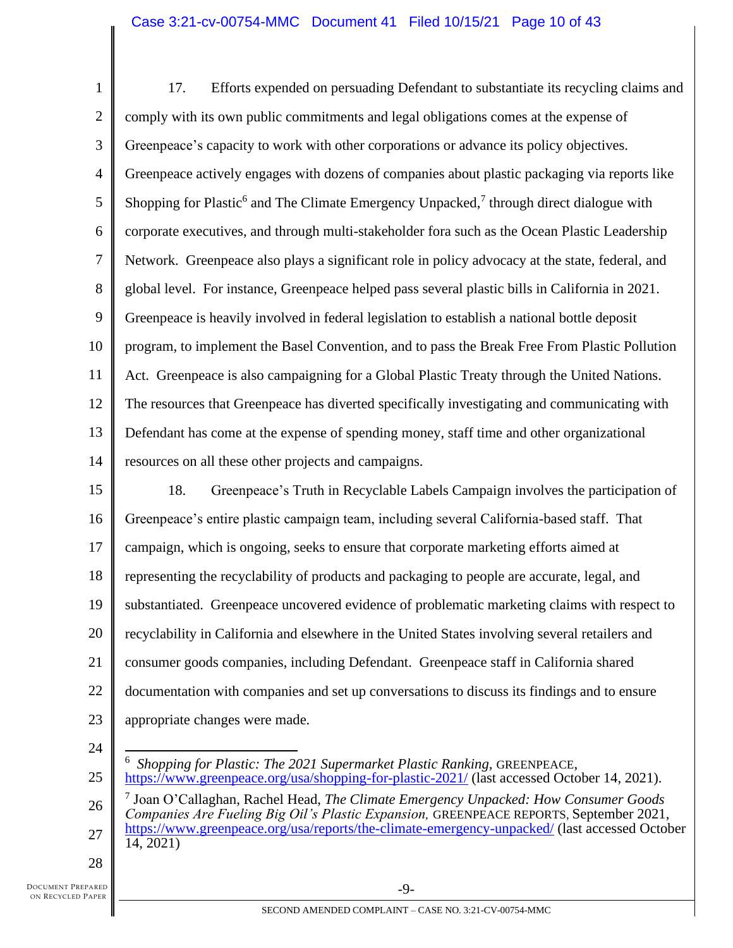1 2 3 4 5 6 7 8 9 10 11 12 13 14 15 16 17 18 19 20 21 22 23 17. Efforts expended on persuading Defendant to substantiate its recycling claims and comply with its own public commitments and legal obligations comes at the expense of Greenpeace's capacity to work with other corporations or advance its policy objectives. Greenpeace actively engages with dozens of companies about plastic packaging via reports like Shopping for Plastic<sup>6</sup> and The Climate Emergency Unpacked,<sup>7</sup> through direct dialogue with corporate executives, and through multi-stakeholder fora such as the Ocean Plastic Leadership Network. Greenpeace also plays a significant role in policy advocacy at the state, federal, and global level. For instance, Greenpeace helped pass several plastic bills in California in 2021. Greenpeace is heavily involved in federal legislation to establish a national bottle deposit program, to implement the Basel Convention, and to pass the Break Free From Plastic Pollution Act. Greenpeace is also campaigning for a Global Plastic Treaty through the United Nations. The resources that Greenpeace has diverted specifically investigating and communicating with Defendant has come at the expense of spending money, staff time and other organizational resources on all these other projects and campaigns. 18. Greenpeace's Truth in Recyclable Labels Campaign involves the participation of Greenpeace's entire plastic campaign team, including several California-based staff. That campaign, which is ongoing, seeks to ensure that corporate marketing efforts aimed at representing the recyclability of products and packaging to people are accurate, legal, and substantiated. Greenpeace uncovered evidence of problematic marketing claims with respect to recyclability in California and elsewhere in the United States involving several retailers and consumer goods companies, including Defendant. Greenpeace staff in California shared documentation with companies and set up conversations to discuss its findings and to ensure appropriate changes were made.

24 25

6 *Shopping for Plastic: The 2021 Supermarket Plastic Ranking, GREENPEACE,* <https://www.greenpeace.org/usa/shopping-for-plastic-2021/> (last accessed October 14, 2021).

26 27 7 Joan O'Callaghan, Rachel Head, *The Climate Emergency Unpacked: How Consumer Goods Companies Are Fueling Big Oil's Plastic Expansion,* GREENPEACE REPORTS, September 2021, <https://www.greenpeace.org/usa/reports/the-climate-emergency-unpacked/> (last accessed October 14, 2021)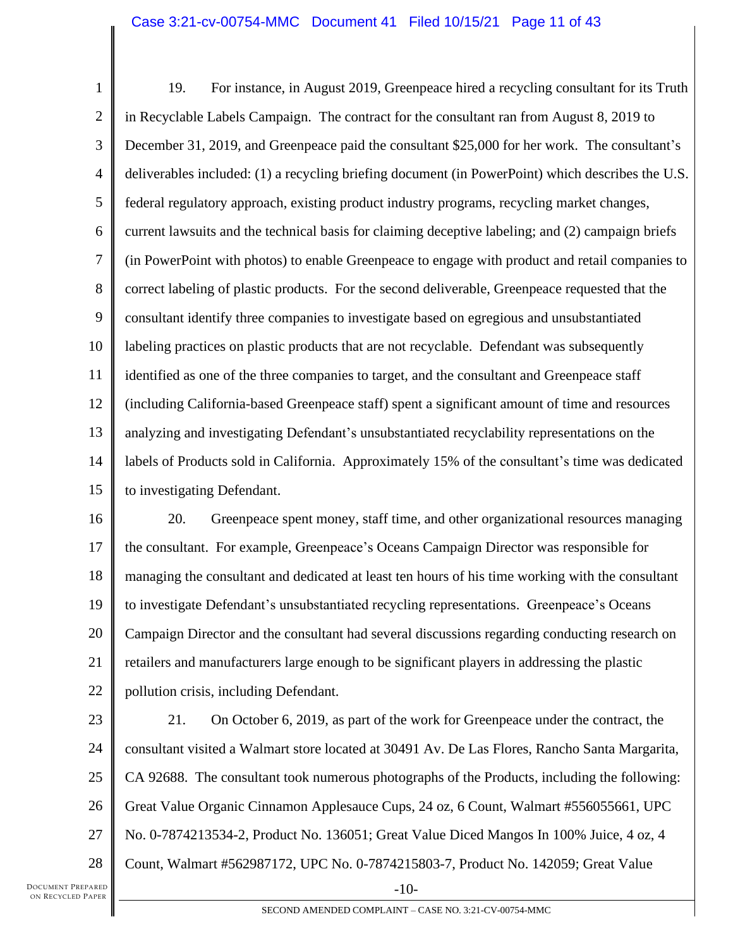1 2 3 4 5 6 7 8 9 10 11 12 13 14 15 19. For instance, in August 2019, Greenpeace hired a recycling consultant for its Truth in Recyclable Labels Campaign. The contract for the consultant ran from August 8, 2019 to December 31, 2019, and Greenpeace paid the consultant \$25,000 for her work. The consultant's deliverables included: (1) a recycling briefing document (in PowerPoint) which describes the U.S. federal regulatory approach, existing product industry programs, recycling market changes, current lawsuits and the technical basis for claiming deceptive labeling; and (2) campaign briefs (in PowerPoint with photos) to enable Greenpeace to engage with product and retail companies to correct labeling of plastic products. For the second deliverable, Greenpeace requested that the consultant identify three companies to investigate based on egregious and unsubstantiated labeling practices on plastic products that are not recyclable. Defendant was subsequently identified as one of the three companies to target, and the consultant and Greenpeace staff (including California-based Greenpeace staff) spent a significant amount of time and resources analyzing and investigating Defendant's unsubstantiated recyclability representations on the labels of Products sold in California. Approximately 15% of the consultant's time was dedicated to investigating Defendant.

16 17 18 19 20 21 22 20. Greenpeace spent money, staff time, and other organizational resources managing the consultant. For example, Greenpeace's Oceans Campaign Director was responsible for managing the consultant and dedicated at least ten hours of his time working with the consultant to investigate Defendant's unsubstantiated recycling representations. Greenpeace's Oceans Campaign Director and the consultant had several discussions regarding conducting research on retailers and manufacturers large enough to be significant players in addressing the plastic pollution crisis, including Defendant.

23 24 25 26 27 28 -10- 21. On October 6, 2019, as part of the work for Greenpeace under the contract, the consultant visited a Walmart store located at 30491 Av. De Las Flores, Rancho Santa Margarita, CA 92688. The consultant took numerous photographs of the Products, including the following: Great Value Organic Cinnamon Applesauce Cups, 24 oz, 6 Count, Walmart #556055661, UPC No. 0-7874213534-2, Product No. 136051; Great Value Diced Mangos In 100% Juice, 4 oz, 4 Count, Walmart #562987172, UPC No. 0-7874215803-7, Product No. 142059; Great Value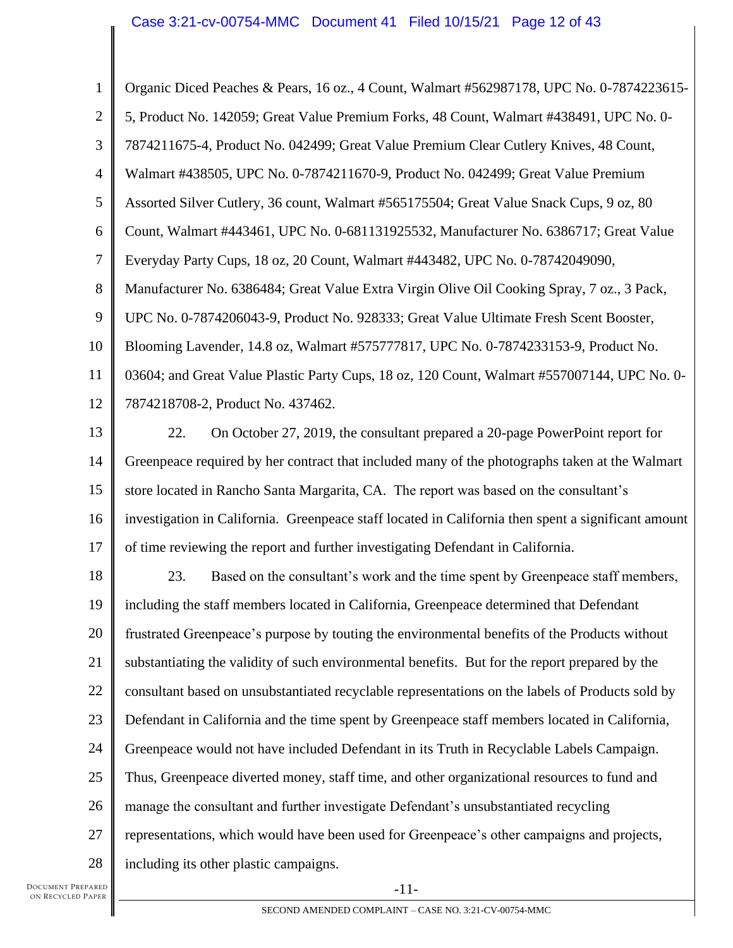## Case 3:21-cv-00754-MMC Document 41 Filed 10/15/21 Page 12 of 43

1 2 3 4 5 6 7 8 9 10 11 12 13 14 15 16 17 18 19 20 21 22 23 24 25 26 27 28 Organic Diced Peaches & Pears, 16 oz., 4 Count, Walmart #562987178, UPC No. 0-7874223615- 5, Product No. 142059; Great Value Premium Forks, 48 Count, Walmart #438491, UPC No. 0- 7874211675-4, Product No. 042499; Great Value Premium Clear Cutlery Knives, 48 Count, Walmart #438505, UPC No. 0-7874211670-9, Product No. 042499; Great Value Premium Assorted Silver Cutlery, 36 count, Walmart #565175504; Great Value Snack Cups, 9 oz, 80 Count, Walmart #443461, UPC No. 0-681131925532, Manufacturer No. 6386717; Great Value Everyday Party Cups, 18 oz, 20 Count, Walmart #443482, UPC No. 0-78742049090, Manufacturer No. 6386484; Great Value Extra Virgin Olive Oil Cooking Spray, 7 oz., 3 Pack, UPC No. 0-7874206043-9, Product No. 928333; Great Value Ultimate Fresh Scent Booster, Blooming Lavender, 14.8 oz, Walmart #575777817, UPC No. 0-7874233153-9, Product No. 03604; and Great Value Plastic Party Cups, 18 oz, 120 Count, Walmart #557007144, UPC No. 0- 7874218708-2, Product No. 437462. 22. On October 27, 2019, the consultant prepared a 20-page PowerPoint report for Greenpeace required by her contract that included many of the photographs taken at the Walmart store located in Rancho Santa Margarita, CA. The report was based on the consultant's investigation in California. Greenpeace staff located in California then spent a significant amount of time reviewing the report and further investigating Defendant in California. 23. Based on the consultant's work and the time spent by Greenpeace staff members, including the staff members located in California, Greenpeace determined that Defendant frustrated Greenpeace's purpose by touting the environmental benefits of the Products without substantiating the validity of such environmental benefits. But for the report prepared by the consultant based on unsubstantiated recyclable representations on the labels of Products sold by Defendant in California and the time spent by Greenpeace staff members located in California, Greenpeace would not have included Defendant in its Truth in Recyclable Labels Campaign. Thus, Greenpeace diverted money, staff time, and other organizational resources to fund and manage the consultant and further investigate Defendant's unsubstantiated recycling representations, which would have been used for Greenpeace's other campaigns and projects, including its other plastic campaigns.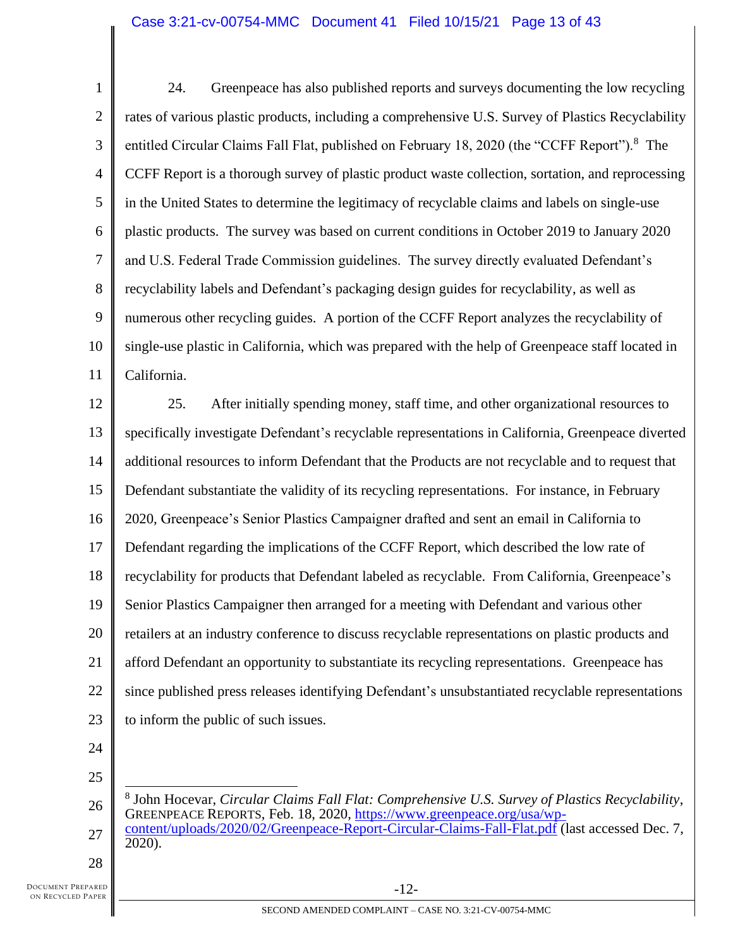1 2 3 4 5 6 7 8 9 10 11 24. Greenpeace has also published reports and surveys documenting the low recycling rates of various plastic products, including a comprehensive U.S. Survey of Plastics Recyclability entitled Circular Claims Fall Flat, published on February 18, 2020 (the "CCFF Report").<sup>8</sup> The CCFF Report is a thorough survey of plastic product waste collection, sortation, and reprocessing in the United States to determine the legitimacy of recyclable claims and labels on single-use plastic products. The survey was based on current conditions in October 2019 to January 2020 and U.S. Federal Trade Commission guidelines. The survey directly evaluated Defendant's recyclability labels and Defendant's packaging design guides for recyclability, as well as numerous other recycling guides. A portion of the CCFF Report analyzes the recyclability of single-use plastic in California, which was prepared with the help of Greenpeace staff located in California.

12 13 14 15 16 17 18 19 20 21 22 23 25. After initially spending money, staff time, and other organizational resources to specifically investigate Defendant's recyclable representations in California, Greenpeace diverted additional resources to inform Defendant that the Products are not recyclable and to request that Defendant substantiate the validity of its recycling representations. For instance, in February 2020, Greenpeace's Senior Plastics Campaigner drafted and sent an email in California to Defendant regarding the implications of the CCFF Report, which described the low rate of recyclability for products that Defendant labeled as recyclable. From California, Greenpeace's Senior Plastics Campaigner then arranged for a meeting with Defendant and various other retailers at an industry conference to discuss recyclable representations on plastic products and afford Defendant an opportunity to substantiate its recycling representations. Greenpeace has since published press releases identifying Defendant's unsubstantiated recyclable representations to inform the public of such issues.

24 25

26 27 8 John Hocevar, *Circular Claims Fall Flat: Comprehensive U.S. Survey of Plastics Recyclability*, GREENPEACE REPORTS, Feb. 18, 2020, [https://www.greenpeace.org/usa/wp](https://www.greenpeace.org/usa/wp-content/uploads/2020/02/Greenpeace-Report-Circular-Claims-Fall-Flat.pdf)[content/uploads/2020/02/Greenpeace-Report-Circular-Claims-Fall-Flat.pdf](https://www.greenpeace.org/usa/wp-content/uploads/2020/02/Greenpeace-Report-Circular-Claims-Fall-Flat.pdf) (last accessed Dec. 7, 2020).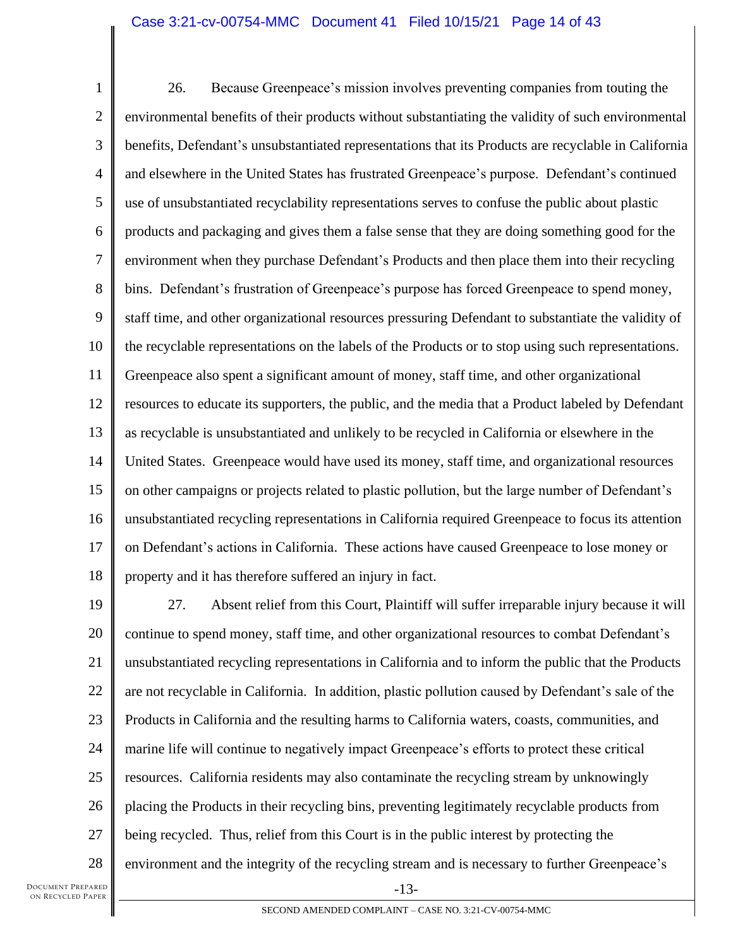1 2 3 4 5 6 7 8 9 10 11 12 13 14 15 16 17 18 26. Because Greenpeace's mission involves preventing companies from touting the environmental benefits of their products without substantiating the validity of such environmental benefits, Defendant's unsubstantiated representations that its Products are recyclable in California and elsewhere in the United States has frustrated Greenpeace's purpose. Defendant's continued use of unsubstantiated recyclability representations serves to confuse the public about plastic products and packaging and gives them a false sense that they are doing something good for the environment when they purchase Defendant's Products and then place them into their recycling bins. Defendant's frustration of Greenpeace's purpose has forced Greenpeace to spend money, staff time, and other organizational resources pressuring Defendant to substantiate the validity of the recyclable representations on the labels of the Products or to stop using such representations. Greenpeace also spent a significant amount of money, staff time, and other organizational resources to educate its supporters, the public, and the media that a Product labeled by Defendant as recyclable is unsubstantiated and unlikely to be recycled in California or elsewhere in the United States. Greenpeace would have used its money, staff time, and organizational resources on other campaigns or projects related to plastic pollution, but the large number of Defendant's unsubstantiated recycling representations in California required Greenpeace to focus its attention on Defendant's actions in California. These actions have caused Greenpeace to lose money or property and it has therefore suffered an injury in fact.

19 20 21 22 23 24 25 26 27 28 27. Absent relief from this Court, Plaintiff will suffer irreparable injury because it will continue to spend money, staff time, and other organizational resources to combat Defendant's unsubstantiated recycling representations in California and to inform the public that the Products are not recyclable in California. In addition, plastic pollution caused by Defendant's sale of the Products in California and the resulting harms to California waters, coasts, communities, and marine life will continue to negatively impact Greenpeace's efforts to protect these critical resources. California residents may also contaminate the recycling stream by unknowingly placing the Products in their recycling bins, preventing legitimately recyclable products from being recycled. Thus, relief from this Court is in the public interest by protecting the environment and the integrity of the recycling stream and is necessary to further Greenpeace's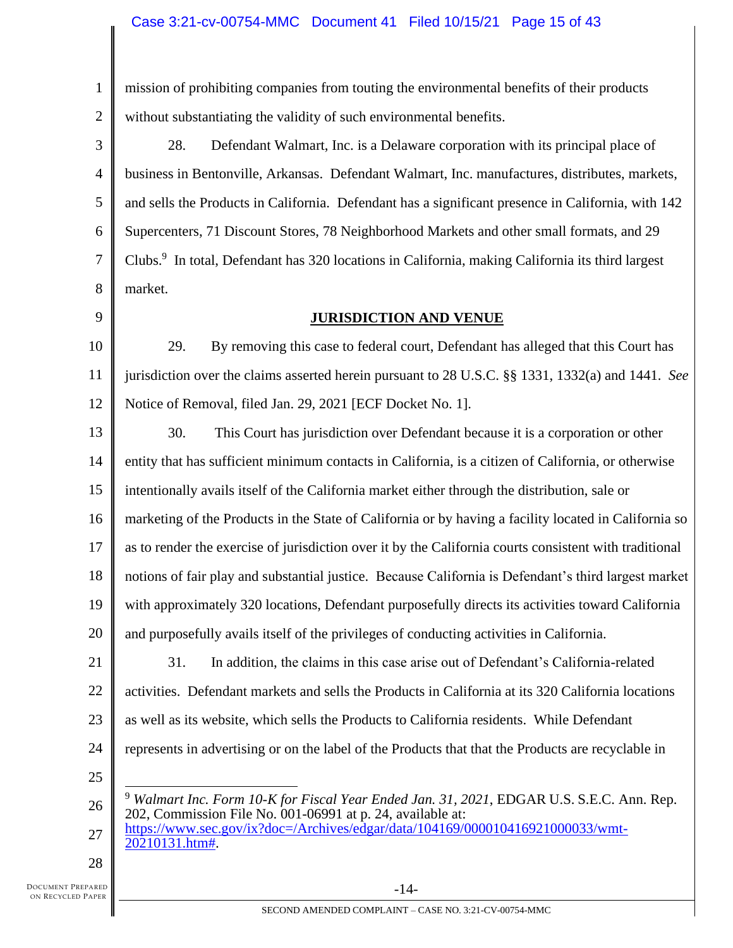## Case 3:21-cv-00754-MMC Document 41 Filed 10/15/21 Page 15 of 43

1 2 mission of prohibiting companies from touting the environmental benefits of their products without substantiating the validity of such environmental benefits.

3 4 5 6 7 8 28. Defendant Walmart, Inc. is a Delaware corporation with its principal place of business in Bentonville, Arkansas. Defendant Walmart, Inc. manufactures, distributes, markets, and sells the Products in California. Defendant has a significant presence in California, with 142 Supercenters, 71 Discount Stores, 78 Neighborhood Markets and other small formats, and 29 Clubs.<sup>9</sup> In total, Defendant has 320 locations in California, making California its third largest market.

9

# **JURISDICTION AND VENUE**

10 11 12 29. By removing this case to federal court, Defendant has alleged that this Court has jurisdiction over the claims asserted herein pursuant to 28 U.S.C. §§ 1331, 1332(a) and 1441. *See* Notice of Removal, filed Jan. 29, 2021 [ECF Docket No. 1].

13 14 15 16 17 18 19 20 30. This Court has jurisdiction over Defendant because it is a corporation or other entity that has sufficient minimum contacts in California, is a citizen of California, or otherwise intentionally avails itself of the California market either through the distribution, sale or marketing of the Products in the State of California or by having a facility located in California so as to render the exercise of jurisdiction over it by the California courts consistent with traditional notions of fair play and substantial justice. Because California is Defendant's third largest market with approximately 320 locations, Defendant purposefully directs its activities toward California and purposefully avails itself of the privileges of conducting activities in California.

21 22 23 24 31. In addition, the claims in this case arise out of Defendant's California-related activities. Defendant markets and sells the Products in California at its 320 California locations as well as its website, which sells the Products to California residents. While Defendant represents in advertising or on the label of the Products that that the Products are recyclable in

25

26 <sup>9</sup> *Walmart Inc. Form 10-K for Fiscal Year Ended Jan. 31, 2021*, EDGAR U.S. S.E.C. Ann. Rep. 202, Commission File No. 001-06991 at p. 24, available at:

27 [https://www.sec.gov/ix?doc=/Archives/edgar/data/104169/000010416921000033/wmt-](https://www.sec.gov/ix?doc=/Archives/edgar/data/104169/000010416921000033/wmt-20210131.htm)[20210131.htm#.](https://www.sec.gov/ix?doc=/Archives/edgar/data/104169/000010416921000033/wmt-20210131.htm)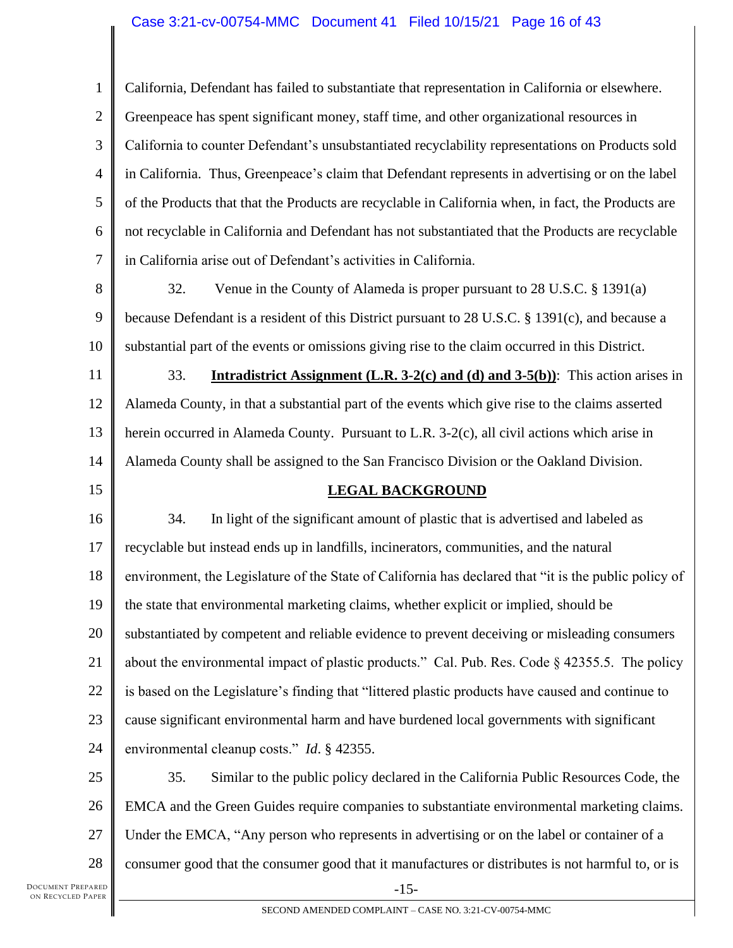## Case 3:21-cv-00754-MMC Document 41 Filed 10/15/21 Page 16 of 43

1 2 3 4 5 6 7 California, Defendant has failed to substantiate that representation in California or elsewhere. Greenpeace has spent significant money, staff time, and other organizational resources in California to counter Defendant's unsubstantiated recyclability representations on Products sold in California. Thus, Greenpeace's claim that Defendant represents in advertising or on the label of the Products that that the Products are recyclable in California when, in fact, the Products are not recyclable in California and Defendant has not substantiated that the Products are recyclable in California arise out of Defendant's activities in California.

8 9 10 32. Venue in the County of Alameda is proper pursuant to 28 U.S.C. § 1391(a) because Defendant is a resident of this District pursuant to 28 U.S.C. § 1391(c), and because a substantial part of the events or omissions giving rise to the claim occurred in this District.

11 12 13 14 33. **Intradistrict Assignment (L.R. 3-2(c) and (d) and 3-5(b))**: This action arises in Alameda County, in that a substantial part of the events which give rise to the claims asserted herein occurred in Alameda County. Pursuant to L.R. 3-2(c), all civil actions which arise in Alameda County shall be assigned to the San Francisco Division or the Oakland Division.

15

# **LEGAL BACKGROUND**

16 17 18 19 20 21 22 23 24 34. In light of the significant amount of plastic that is advertised and labeled as recyclable but instead ends up in landfills, incinerators, communities, and the natural environment, the Legislature of the State of California has declared that "it is the public policy of the state that environmental marketing claims, whether explicit or implied, should be substantiated by competent and reliable evidence to prevent deceiving or misleading consumers about the environmental impact of plastic products." Cal. Pub. Res. Code § 42355.5. The policy is based on the Legislature's finding that "littered plastic products have caused and continue to cause significant environmental harm and have burdened local governments with significant environmental cleanup costs." *Id*. § 42355.

25 26 27 28 -15- 35. Similar to the public policy declared in the California Public Resources Code, the EMCA and the Green Guides require companies to substantiate environmental marketing claims. Under the EMCA, "Any person who represents in advertising or on the label or container of a consumer good that the consumer good that it manufactures or distributes is not harmful to, or is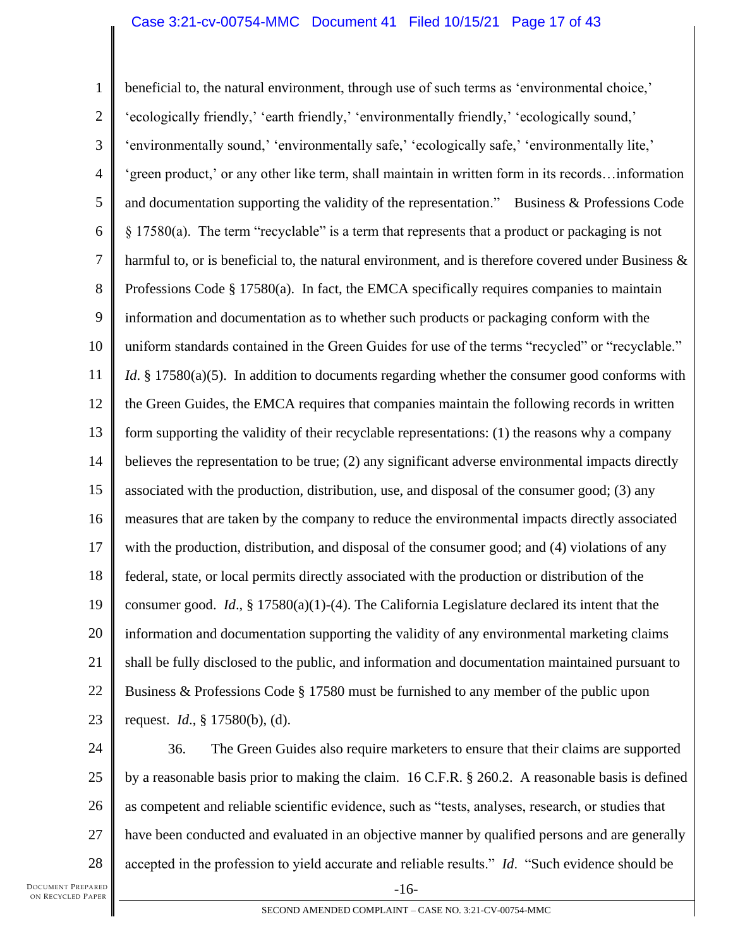## Case 3:21-cv-00754-MMC Document 41 Filed 10/15/21 Page 17 of 43

1 2 3 4 5 6 7 8 9 10 11 12 13 14 15 16 17 18 19 20 21 22 23 beneficial to, the natural environment, through use of such terms as 'environmental choice,' 'ecologically friendly,' 'earth friendly,' 'environmentally friendly,' 'ecologically sound,' 'environmentally sound,' 'environmentally safe,' 'ecologically safe,' 'environmentally lite,' 'green product,' or any other like term, shall maintain in written form in its records…information and documentation supporting the validity of the representation." Business & Professions Code § 17580(a). The term "recyclable" is a term that represents that a product or packaging is not harmful to, or is beneficial to, the natural environment, and is therefore covered under Business & Professions Code § 17580(a). In fact, the EMCA specifically requires companies to maintain information and documentation as to whether such products or packaging conform with the uniform standards contained in the Green Guides for use of the terms "recycled" or "recyclable." *Id*. § 17580(a)(5). In addition to documents regarding whether the consumer good conforms with the Green Guides, the EMCA requires that companies maintain the following records in written form supporting the validity of their recyclable representations: (1) the reasons why a company believes the representation to be true; (2) any significant adverse environmental impacts directly associated with the production, distribution, use, and disposal of the consumer good; (3) any measures that are taken by the company to reduce the environmental impacts directly associated with the production, distribution, and disposal of the consumer good; and (4) violations of any federal, state, or local permits directly associated with the production or distribution of the consumer good. *Id*., § 17580(a)(1)-(4). The California Legislature declared its intent that the information and documentation supporting the validity of any environmental marketing claims shall be fully disclosed to the public, and information and documentation maintained pursuant to Business & Professions Code § 17580 must be furnished to any member of the public upon request. *Id*., § 17580(b), (d).

24 25 26 27 28 36. The Green Guides also require marketers to ensure that their claims are supported by a reasonable basis prior to making the claim. 16 C.F.R. § 260.2. A reasonable basis is defined as competent and reliable scientific evidence, such as "tests, analyses, research, or studies that have been conducted and evaluated in an objective manner by qualified persons and are generally accepted in the profession to yield accurate and reliable results." *Id*. "Such evidence should be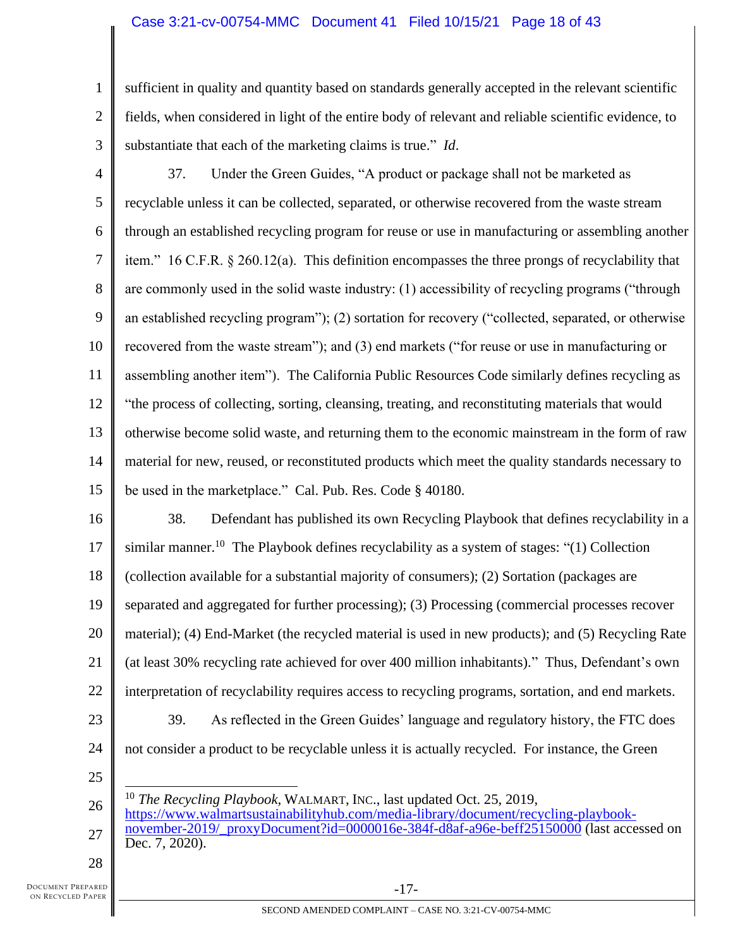1 2 3 sufficient in quality and quantity based on standards generally accepted in the relevant scientific fields, when considered in light of the entire body of relevant and reliable scientific evidence, to substantiate that each of the marketing claims is true." *Id*.

4 5 6 7 8 9 10 11 12 13 14 15 37. Under the Green Guides, "A product or package shall not be marketed as recyclable unless it can be collected, separated, or otherwise recovered from the waste stream through an established recycling program for reuse or use in manufacturing or assembling another item." 16 C.F.R. § 260.12(a). This definition encompasses the three prongs of recyclability that are commonly used in the solid waste industry: (1) accessibility of recycling programs ("through an established recycling program"); (2) sortation for recovery ("collected, separated, or otherwise recovered from the waste stream"); and (3) end markets ("for reuse or use in manufacturing or assembling another item"). The California Public Resources Code similarly defines recycling as "the process of collecting, sorting, cleansing, treating, and reconstituting materials that would otherwise become solid waste, and returning them to the economic mainstream in the form of raw material for new, reused, or reconstituted products which meet the quality standards necessary to be used in the marketplace." Cal. Pub. Res. Code § 40180.

16 17 18 19 20 21 22 23 24 38. Defendant has published its own Recycling Playbook that defines recyclability in a similar manner.<sup>10</sup> The Playbook defines recyclability as a system of stages: "(1) Collection (collection available for a substantial majority of consumers); (2) Sortation (packages are separated and aggregated for further processing); (3) Processing (commercial processes recover material); (4) End-Market (the recycled material is used in new products); and (5) Recycling Rate (at least 30% recycling rate achieved for over 400 million inhabitants)." Thus, Defendant's own interpretation of recyclability requires access to recycling programs, sortation, and end markets. 39. As reflected in the Green Guides' language and regulatory history, the FTC does not consider a product to be recyclable unless it is actually recycled. For instance, the Green

25

26 27 <sup>10</sup> *The Recycling Playbook,* WALMART, INC., last updated Oct. 25, 2019, [https://www.walmartsustainabilityhub.com/media-library/document/recycling-playbook](https://www.walmartsustainabilityhub.com/media-library/document/recycling-playbook-november-2019/_proxyDocument?id=0000016e-384f-d8af-a96e-beff25150000)november-2019/ proxyDocument?id=0000016e-384f-d8af-a96e-beff25150000 (last accessed on Dec. 7, 2020).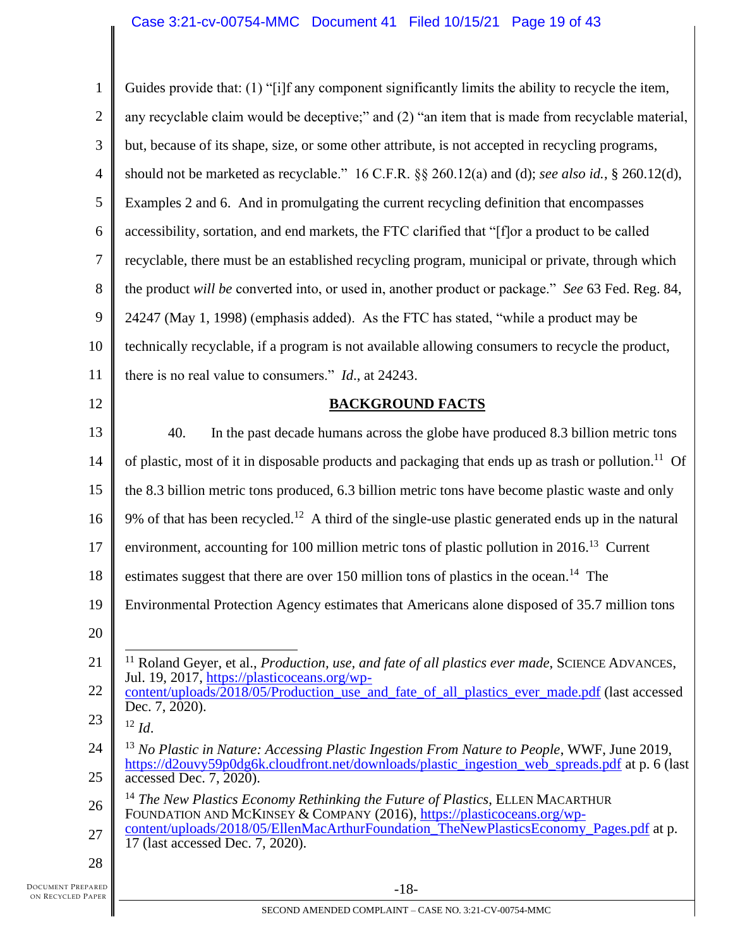1 2 3 4 5 6 7 8 9 10 11 12 13 14 15 16 17 18 19 20 21 22 23 24 25 26 27 28 Guides provide that: (1) "[i]f any component significantly limits the ability to recycle the item, any recyclable claim would be deceptive;" and (2) "an item that is made from recyclable material, but, because of its shape, size, or some other attribute, is not accepted in recycling programs, should not be marketed as recyclable." 16 C.F.R. §§ 260.12(a) and (d); *see also id.*, § 260.12(d), Examples 2 and 6. And in promulgating the current recycling definition that encompasses accessibility, sortation, and end markets, the FTC clarified that "[f]or a product to be called recyclable, there must be an established recycling program, municipal or private, through which the product *will be* converted into, or used in, another product or package." *See* 63 Fed. Reg. 84, 24247 (May 1, 1998) (emphasis added). As the FTC has stated, "while a product may be technically recyclable, if a program is not available allowing consumers to recycle the product, there is no real value to consumers." *Id*., at 24243. **BACKGROUND FACTS** 40. In the past decade humans across the globe have produced 8.3 billion metric tons of plastic, most of it in disposable products and packaging that ends up as trash or pollution.<sup>11</sup> Of the 8.3 billion metric tons produced, 6.3 billion metric tons have become plastic waste and only 9% of that has been recycled.<sup>12</sup> A third of the single-use plastic generated ends up in the natural environment, accounting for 100 million metric tons of plastic pollution in  $2016$ <sup>13</sup> Current estimates suggest that there are over 150 million tons of plastics in the ocean.<sup>14</sup> The Environmental Protection Agency estimates that Americans alone disposed of 35.7 million tons <sup>11</sup> Roland Geyer, et al., *Production, use, and fate of all plastics ever made*, SCIENCE ADVANCES, Jul. 19, 2017, [https://plasticoceans.org/wp](https://plasticoceans.org/wp-content/uploads/2018/05/Production_use_and_fate_of_all_plastics_ever_made.pdf)[content/uploads/2018/05/Production\\_use\\_and\\_fate\\_of\\_all\\_plastics\\_ever\\_made.pdf](https://plasticoceans.org/wp-content/uploads/2018/05/Production_use_and_fate_of_all_plastics_ever_made.pdf) (last accessed Dec. 7, 2020).  $12 \, \text{Id}$ <sup>13</sup> No Plastic in Nature: Accessing Plastic Ingestion From Nature to People, WWF, June 2019, [https://d2ouvy59p0dg6k.cloudfront.net/downloads/plastic\\_ingestion\\_web\\_spreads.pdf](https://d2ouvy59p0dg6k.cloudfront.net/downloads/plastic_ingestion_web_spreads.pdf) at p. 6 (last accessed Dec. 7, 2020). <sup>14</sup> *The New Plastics Economy Rethinking the Future of Plastics*, ELLEN MACARTHUR FOUNDATION AND MCKINSEY & COMPANY (2016), [https://plasticoceans.org/wp](https://plasticoceans.org/wp-content/uploads/2018/05/EllenMacArthurFoundation_TheNewPlasticsEconomy_Pages.pdf)[content/uploads/2018/05/EllenMacArthurFoundation\\_TheNewPlasticsEconomy\\_Pages.pdf](https://plasticoceans.org/wp-content/uploads/2018/05/EllenMacArthurFoundation_TheNewPlasticsEconomy_Pages.pdf) at p. 17 (last accessed Dec. 7, 2020).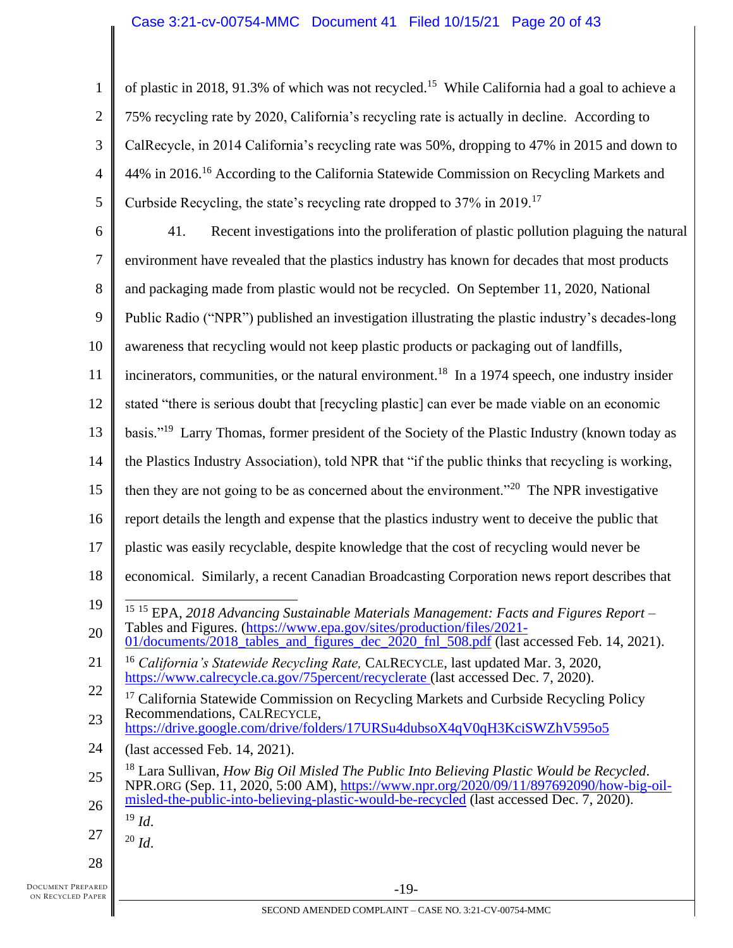1 2 3 4 5 of plastic in 2018, 91.3% of which was not recycled.<sup>15</sup> While California had a goal to achieve a 75% recycling rate by 2020, California's recycling rate is actually in decline. According to CalRecycle, in 2014 California's recycling rate was 50%, dropping to 47% in 2015 and down to 44% in 2016.<sup>16</sup> According to the California Statewide Commission on Recycling Markets and Curbside Recycling, the state's recycling rate dropped to 37% in 2019.<sup>17</sup>

6 7 8 9 10 11 12 13 14 15 16 17 18 19 20 21 22 23 24 25 26 27 28 41. Recent investigations into the proliferation of plastic pollution plaguing the natural environment have revealed that the plastics industry has known for decades that most products and packaging made from plastic would not be recycled. On September 11, 2020, National Public Radio ("NPR") published an investigation illustrating the plastic industry's decades-long awareness that recycling would not keep plastic products or packaging out of landfills, incinerators, communities, or the natural environment.<sup>18</sup> In a 1974 speech, one industry insider stated "there is serious doubt that [recycling plastic] can ever be made viable on an economic basis."<sup>19</sup> Larry Thomas, former president of the Society of the Plastic Industry (known today as the Plastics Industry Association), told NPR that "if the public thinks that recycling is working, then they are not going to be as concerned about the environment.<sup> $20$ </sup> The NPR investigative report details the length and expense that the plastics industry went to deceive the public that plastic was easily recyclable, despite knowledge that the cost of recycling would never be economical. Similarly, a recent Canadian Broadcasting Corporation news report describes that <sup>15</sup> <sup>15</sup> EPA, *2018 Advancing Sustainable Materials Management: Facts and Figures Report* – Tables and Figures. [\(https://www.epa.gov/sites/production/files/2021-](https://www.epa.gov/sites/production/files/2021-01/documents/2018_tables_and_figures_dec_2020_fnl_508.pdf) [01/documents/2018\\_tables\\_and\\_figures\\_dec\\_2020\\_fnl\\_508.pdf](https://www.epa.gov/sites/production/files/2021-01/documents/2018_tables_and_figures_dec_2020_fnl_508.pdf) (last accessed Feb. 14, 2021). <sup>16</sup> *California's Statewide Recycling Rate,* CALRECYCLE, last updated Mar. 3, 2020, <https://www.calrecycle.ca.gov/75percent/recyclerate> (last accessed Dec. 7, 2020). <sup>17</sup> California Statewide Commission on Recycling Markets and Curbside Recycling Policy Recommendations, CALRECYCLE, <https://drive.google.com/drive/folders/17URSu4dubsoX4qV0qH3KciSWZhV595o5> (last accessed Feb. 14, 2021). <sup>18</sup> Lara Sullivan, *How Big Oil Misled The Public Into Believing Plastic Would be Recycled*. NPR.ORG (Sep. 11, 2020, 5:00 AM), [https://www.npr.org/2020/09/11/897692090/how-big-oil](https://www.npr.org/2020/09/11/897692090/how-big-oil-misled-the-public-into-believing-plastic-would-be-recycled)[misled-the-public-into-believing-plastic-would-be-recycled](https://www.npr.org/2020/09/11/897692090/how-big-oil-misled-the-public-into-believing-plastic-would-be-recycled) (last accessed Dec. 7, 2020). <sup>19</sup> *Id*. <sup>20</sup> *Id*.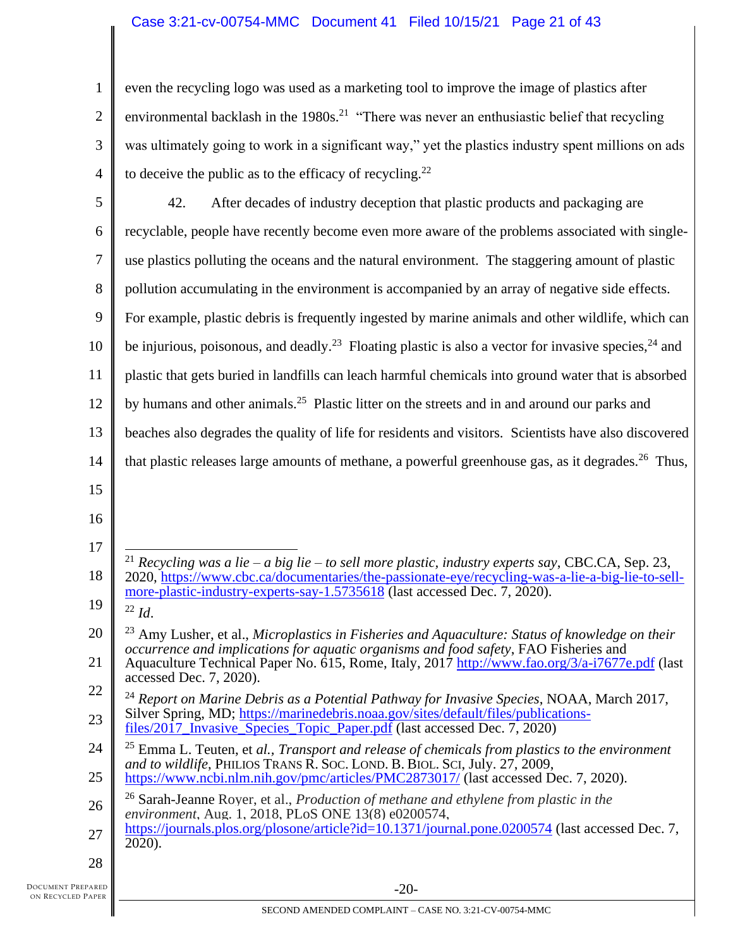1 2 3 4 even the recycling logo was used as a marketing tool to improve the image of plastics after environmental backlash in the  $1980s$ <sup>21</sup> "There was never an enthusiastic belief that recycling was ultimately going to work in a significant way," yet the plastics industry spent millions on ads to deceive the public as to the efficacy of recycling.<sup>22</sup>

| 5  | 42.<br>After decades of industry deception that plastic products and packaging are                                                                                                                               |
|----|------------------------------------------------------------------------------------------------------------------------------------------------------------------------------------------------------------------|
| 6  | recyclable, people have recently become even more aware of the problems associated with single-                                                                                                                  |
| 7  | use plastics polluting the oceans and the natural environment. The staggering amount of plastic                                                                                                                  |
| 8  | pollution accumulating in the environment is accompanied by an array of negative side effects.                                                                                                                   |
| 9  | For example, plastic debris is frequently ingested by marine animals and other wildlife, which can                                                                                                               |
| 10 | be injurious, poisonous, and deadly. <sup>23</sup> Floating plastic is also a vector for invasive species, <sup>24</sup> and                                                                                     |
| 11 | plastic that gets buried in landfills can leach harmful chemicals into ground water that is absorbed                                                                                                             |
| 12 | by humans and other animals. <sup>25</sup> Plastic litter on the streets and in and around our parks and                                                                                                         |
| 13 | beaches also degrades the quality of life for residents and visitors. Scientists have also discovered                                                                                                            |
| 14 | that plastic releases large amounts of methane, a powerful greenhouse gas, as it degrades. <sup>26</sup> Thus,                                                                                                   |
| 15 |                                                                                                                                                                                                                  |
| 16 |                                                                                                                                                                                                                  |
| 17 |                                                                                                                                                                                                                  |
| 18 | <sup>21</sup> Recycling was a lie – a big lie – to sell more plastic, industry experts say, CBC.CA, Sep. 23,<br>2020, https://www.cbc.ca/documentaries/the-passionate-eye/recycling-was-a-lie-a-big-lie-to-sell- |
| 19 | more-plastic-industry-experts-say-1.5735618 (last accessed Dec. 7, 2020).<br>$^{22}$ <i>Id.</i>                                                                                                                  |
| 20 | $^{23}$ Amy Lusher, et al., Microplastics in Fisheries and Aquaculture: Status of knowledge on their<br>occurrence and implications for aquatic organisms and food safety, FAO Fisheries and                     |
| 21 | Aquaculture Technical Paper No. 615, Rome, Italy, 2017 http://www.fao.org/3/a-i7677e.pdf (last<br>accessed Dec. 7, 2020).                                                                                        |
| 22 | $^{24}$ Report on Marine Debris as a Potential Pathway for Invasive Species, NOAA, March 2017,                                                                                                                   |
| 23 | Silver Spring, MD; https://marinedebris.noaa.gov/sites/default/files/publications-<br>files/2017_Invasive_Species_Topic_Paper.pdf (last accessed Dec. 7, 2020)                                                   |
| 24 | $25$ Emma L. Teuten, et al., Transport and release of chemicals from plastics to the environment<br>and to wildlife, PHILIOS TRANS R. SOC. LOND. B. BIOL. SCI, July. 27, 2009,                                   |
| 25 | https://www.ncbi.nlm.nih.gov/pmc/articles/PMC2873017/ (last accessed Dec. 7, 2020).                                                                                                                              |
| 26 | <sup>26</sup> Sarah-Jeanne Royer, et al., <i>Production of methane and ethylene from plastic in the</i><br>environment, Aug. 1, 2018, PLoS ONE 13(8) e0200574,                                                   |
| 27 | https://journals.plos.org/plosone/article?id=10.1371/journal.pone.0200574 (last accessed Dec. 7,<br>2020).                                                                                                       |
| 28 |                                                                                                                                                                                                                  |
|    |                                                                                                                                                                                                                  |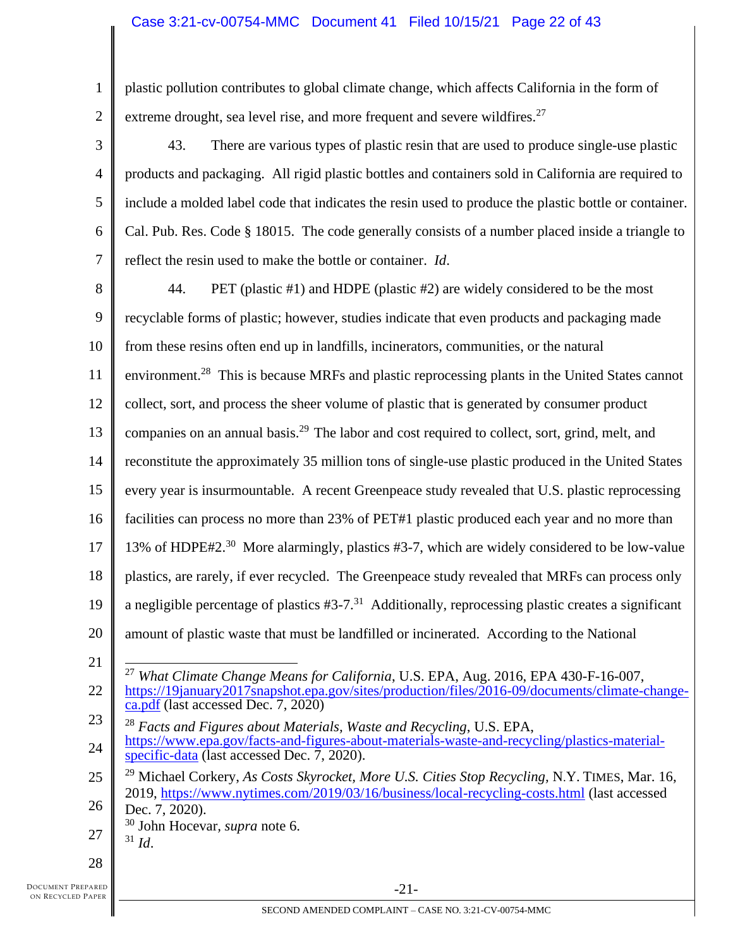# Case 3:21-cv-00754-MMC Document 41 Filed 10/15/21 Page 22 of 43

1 2 plastic pollution contributes to global climate change, which affects California in the form of extreme drought, sea level rise, and more frequent and severe wildfires.<sup>27</sup>

3 4 5 6 7 43. There are various types of plastic resin that are used to produce single-use plastic products and packaging. All rigid plastic bottles and containers sold in California are required to include a molded label code that indicates the resin used to produce the plastic bottle or container. Cal. Pub. Res. Code § 18015. The code generally consists of a number placed inside a triangle to reflect the resin used to make the bottle or container. *Id*.

8 9 10 11 12 13 14 15 16 17 18 19 20 21 44. PET (plastic #1) and HDPE (plastic #2) are widely considered to be the most recyclable forms of plastic; however, studies indicate that even products and packaging made from these resins often end up in landfills, incinerators, communities, or the natural environment.<sup>28</sup> This is because MRFs and plastic reprocessing plants in the United States cannot collect, sort, and process the sheer volume of plastic that is generated by consumer product companies on an annual basis.<sup>29</sup> The labor and cost required to collect, sort, grind, melt, and reconstitute the approximately 35 million tons of single-use plastic produced in the United States every year is insurmountable. A recent Greenpeace study revealed that U.S. plastic reprocessing facilities can process no more than 23% of PET#1 plastic produced each year and no more than 13% of HDPE#2.<sup>30</sup> More alarmingly, plastics #3-7, which are widely considered to be low-value plastics, are rarely, if ever recycled. The Greenpeace study revealed that MRFs can process only a negligible percentage of plastics  $#3-7.^{31}$  Additionally, reprocessing plastic creates a significant amount of plastic waste that must be landfilled or incinerated. According to the National

- 27 <sup>30</sup> John Hocevar*, supra* note 6.  $31$  *Id.*
- 
- 28

<sup>22</sup> <sup>27</sup> *What Climate Change Means for California*, U.S. EPA, Aug. 2016, EPA 430-F-16-007, [https://19january2017snapshot.epa.gov/sites/production/files/2016-09/documents/climate-change](https://19january2017snapshot.epa.gov/sites/production/files/2016-09/documents/climate-change-ca.pdf)[ca.pdf](https://19january2017snapshot.epa.gov/sites/production/files/2016-09/documents/climate-change-ca.pdf) (last accessed Dec. 7, 2020)

<sup>23</sup> 24 <sup>28</sup> *Facts and Figures about Materials, Waste and Recycling*, U.S. EPA, [https://www.epa.gov/facts-and-figures-about-materials-waste-and-recycling/plastics-material](https://www.epa.gov/facts-and-figures-about-materials-waste-and-recycling/plastics-material-specific-data)[specific-data](https://www.epa.gov/facts-and-figures-about-materials-waste-and-recycling/plastics-material-specific-data) (last accessed Dec. 7, 2020).

<sup>25</sup> 26 <sup>29</sup> Michael Corkery, *As Costs Skyrocket, More U.S. Cities Stop Recycling,* N.Y. TIMES, Mar. 16, 2019,<https://www.nytimes.com/2019/03/16/business/local-recycling-costs.html> (last accessed Dec. 7, 2020).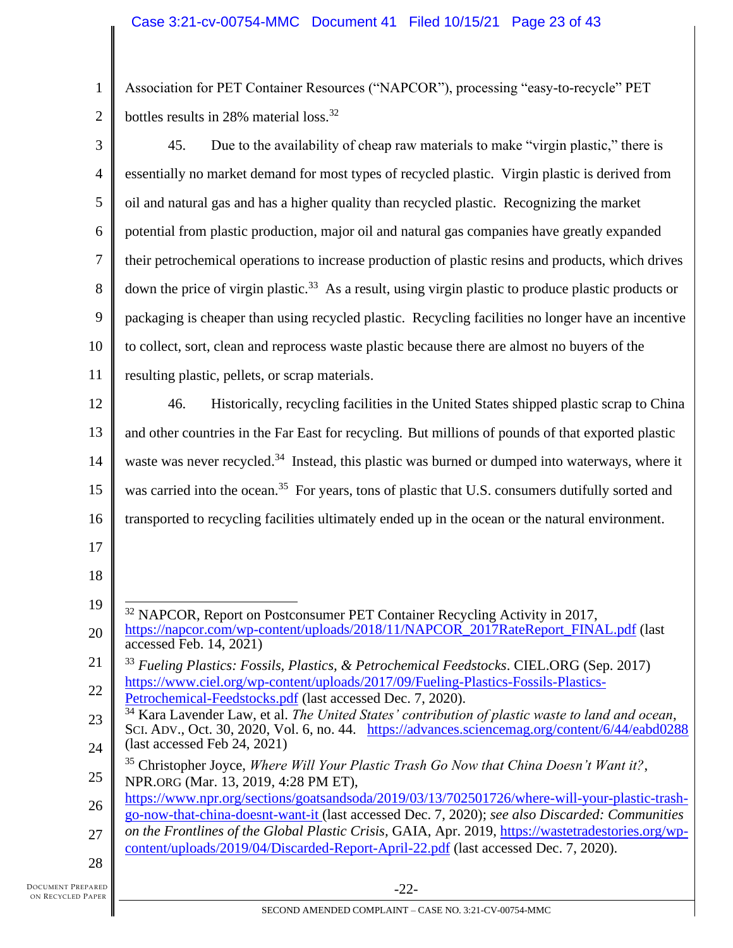1 2 Association for PET Container Resources ("NAPCOR"), processing "easy-to-recycle" PET bottles results in 28% material loss.<sup>32</sup>

| 3  | Due to the availability of cheap raw materials to make "virgin plastic," there is<br>45.                                                                                                                       |
|----|----------------------------------------------------------------------------------------------------------------------------------------------------------------------------------------------------------------|
| 4  | essentially no market demand for most types of recycled plastic. Virgin plastic is derived from                                                                                                                |
| 5  | oil and natural gas and has a higher quality than recycled plastic. Recognizing the market                                                                                                                     |
| 6  | potential from plastic production, major oil and natural gas companies have greatly expanded                                                                                                                   |
| 7  | their petrochemical operations to increase production of plastic resins and products, which drives                                                                                                             |
| 8  | down the price of virgin plastic. <sup>33</sup> As a result, using virgin plastic to produce plastic products or                                                                                               |
| 9  | packaging is cheaper than using recycled plastic. Recycling facilities no longer have an incentive                                                                                                             |
| 10 | to collect, sort, clean and reprocess waste plastic because there are almost no buyers of the                                                                                                                  |
| 11 | resulting plastic, pellets, or scrap materials.                                                                                                                                                                |
| 12 | 46.<br>Historically, recycling facilities in the United States shipped plastic scrap to China                                                                                                                  |
| 13 | and other countries in the Far East for recycling. But millions of pounds of that exported plastic                                                                                                             |
| 14 | waste was never recycled. <sup>34</sup> Instead, this plastic was burned or dumped into waterways, where it                                                                                                    |
| 15 | was carried into the ocean. <sup>35</sup> For years, tons of plastic that U.S. consumers dutifully sorted and                                                                                                  |
| 16 | transported to recycling facilities ultimately ended up in the ocean or the natural environment.                                                                                                               |
| 17 |                                                                                                                                                                                                                |
| 18 |                                                                                                                                                                                                                |
| 19 | <sup>32</sup> NAPCOR, Report on Postconsumer PET Container Recycling Activity in 2017,                                                                                                                         |
| 20 | https://napcor.com/wp-content/uploads/2018/11/NAPCOR_2017RateReport_FINAL.pdf (last<br>accessed Feb. 14, 2021)                                                                                                 |
| 21 | Fueling Plastics: Fossils, Plastics, & Petrochemical Feedstocks. CIEL.ORG (Sep. 2017)                                                                                                                          |
| 22 | https://www.ciel.org/wp-content/uploads/2017/09/Fueling-Plastics-Fossils-Plastics-<br>Petrochemical-Feedstocks.pdf (last accessed Dec. 7, 2020).                                                               |
| 23 | <sup>34</sup> Kara Lavender Law, et al. The United States' contribution of plastic waste to land and ocean,<br>SCI. ADV., Oct. 30, 2020, Vol. 6, no. 44. https://advances.sciencemag.org/content/6/44/eabd0288 |
| 24 | (last accessed Feb 24, 2021)                                                                                                                                                                                   |
| 25 | <sup>35</sup> Christopher Joyce, Where Will Your Plastic Trash Go Now that China Doesn't Want it?,<br>NPR.ORG (Mar. 13, 2019, 4:28 PM ET),                                                                     |
| 26 | https://www.npr.org/sections/goatsandsoda/2019/03/13/702501726/where-will-your-plastic-trash-<br>go-now-that-china-doesnt-want-it (last accessed Dec. 7, 2020); see also Discarded: Communities                |
| 27 | on the Frontlines of the Global Plastic Crisis, GAIA, Apr. 2019, https://wastetradestories.org/wp-<br>content/uploads/2019/04/Discarded-Report-April-22.pdf (last accessed Dec. 7, 2020).                      |
| 28 |                                                                                                                                                                                                                |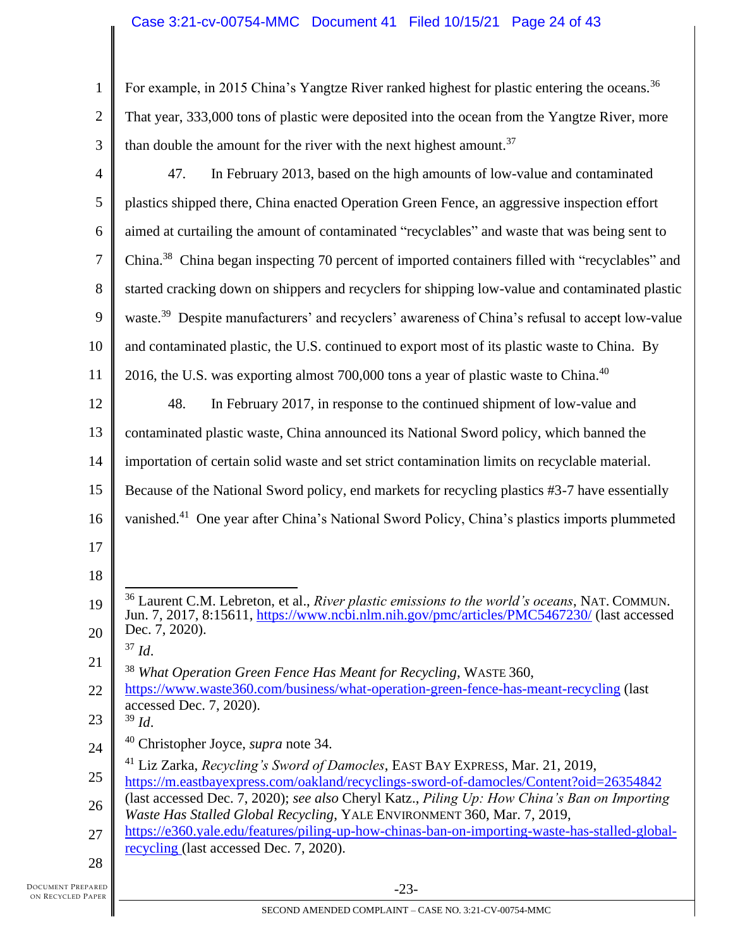| $\mathbf{1}$     | For example, in 2015 China's Yangtze River ranked highest for plastic entering the oceans. <sup>36</sup>                                                                                                        |
|------------------|-----------------------------------------------------------------------------------------------------------------------------------------------------------------------------------------------------------------|
| $\mathfrak{2}$   | That year, 333,000 tons of plastic were deposited into the ocean from the Yangtze River, more                                                                                                                   |
| 3                | than double the amount for the river with the next highest amount. <sup>37</sup>                                                                                                                                |
| $\overline{4}$   | 47.<br>In February 2013, based on the high amounts of low-value and contaminated                                                                                                                                |
| 5                | plastics shipped there, China enacted Operation Green Fence, an aggressive inspection effort                                                                                                                    |
| 6                | aimed at curtailing the amount of contaminated "recyclables" and waste that was being sent to                                                                                                                   |
| $\boldsymbol{7}$ | China. <sup>38</sup> China began inspecting 70 percent of imported containers filled with "recyclables" and                                                                                                     |
| 8                | started cracking down on shippers and recyclers for shipping low-value and contaminated plastic                                                                                                                 |
| 9                | waste. <sup>39</sup> Despite manufacturers' and recyclers' awareness of China's refusal to accept low-value                                                                                                     |
| 10               | and contaminated plastic, the U.S. continued to export most of its plastic waste to China. By                                                                                                                   |
| 11               | 2016, the U.S. was exporting almost 700,000 tons a year of plastic waste to China. <sup>40</sup>                                                                                                                |
| 12               | 48.<br>In February 2017, in response to the continued shipment of low-value and                                                                                                                                 |
| 13               | contaminated plastic waste, China announced its National Sword policy, which banned the                                                                                                                         |
| 14               | importation of certain solid waste and set strict contamination limits on recyclable material.                                                                                                                  |
| 15               | Because of the National Sword policy, end markets for recycling plastics #3-7 have essentially                                                                                                                  |
| 16               | vanished. <sup>41</sup> One year after China's National Sword Policy, China's plastics imports plummeted                                                                                                        |
| 17               |                                                                                                                                                                                                                 |
| 18               |                                                                                                                                                                                                                 |
| 19               | <sup>36</sup> Laurent C.M. Lebreton, et al., <i>River plastic emissions to the world's oceans</i> , NAT. COMMUN.<br>Jun. 7, 2017, 8:15611, https://www.ncbi.nlm.nih.gov/pmc/articles/PMC5467230/ (last accessed |
| 20               | Dec. 7, 2020).<br>$37$ <i>Id.</i>                                                                                                                                                                               |
| 21               | <sup>38</sup> What Operation Green Fence Has Meant for Recycling, WASTE 360,                                                                                                                                    |
| 22               | https://www.waste360.com/business/what-operation-green-fence-has-meant-recycling (last<br>accessed Dec. 7, 2020).                                                                                               |
| 23               | $39$ Id.                                                                                                                                                                                                        |
| 24               | <sup>40</sup> Christopher Joyce, <i>supra</i> note 34.                                                                                                                                                          |
| 25               | <sup>41</sup> Liz Zarka, Recycling's Sword of Damocles, EAST BAY EXPRESS, Mar. 21, 2019,<br>https://m.eastbayexpress.com/oakland/recyclings-sword-of-damocles/Content?oid=26354842                              |
| 26               | (last accessed Dec. 7, 2020); see also Cheryl Katz., Piling Up: How China's Ban on Importing<br>Waste Has Stalled Global Recycling, YALE ENVIRONMENT 360, Mar. 7, 2019,                                         |
| 27               | https://e360.yale.edu/features/piling-up-how-chinas-ban-on-importing-waste-has-stalled-global-<br>recycling (last accessed Dec. 7, 2020).                                                                       |
| 28               |                                                                                                                                                                                                                 |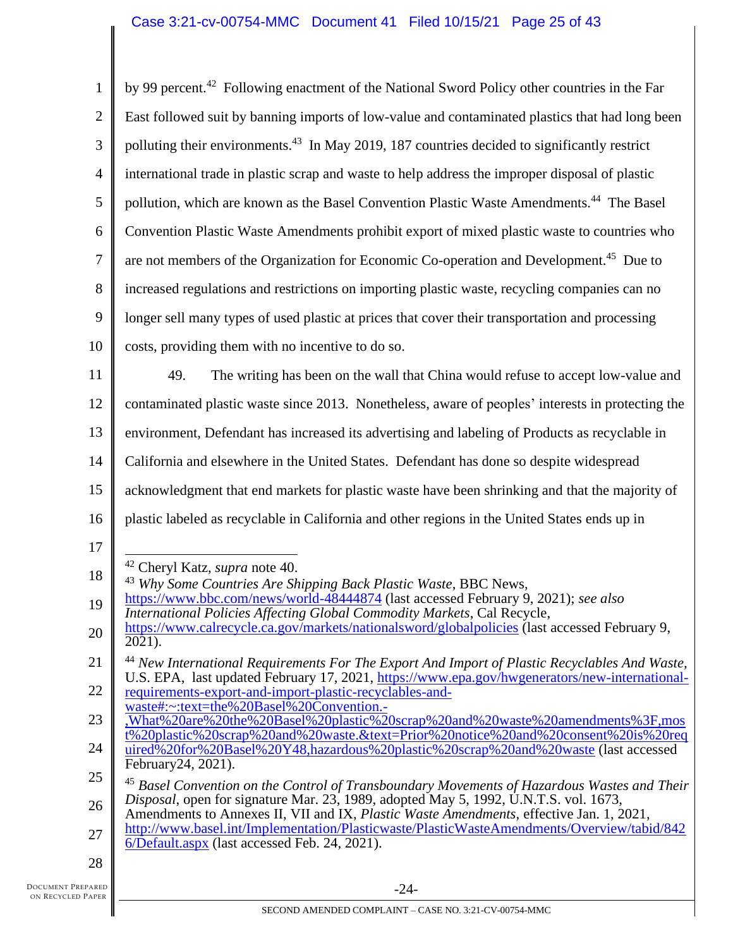| $\mathbf{1}$   | by 99 percent. <sup>42</sup> Following enactment of the National Sword Policy other countries in the Far                                                                                                  |
|----------------|-----------------------------------------------------------------------------------------------------------------------------------------------------------------------------------------------------------|
| $\overline{2}$ | East followed suit by banning imports of low-value and contaminated plastics that had long been                                                                                                           |
| 3              | polluting their environments. <sup>43</sup> In May 2019, 187 countries decided to significantly restrict                                                                                                  |
| 4              | international trade in plastic scrap and waste to help address the improper disposal of plastic                                                                                                           |
| 5              | pollution, which are known as the Basel Convention Plastic Waste Amendments. <sup>44</sup> The Basel                                                                                                      |
| 6              | Convention Plastic Waste Amendments prohibit export of mixed plastic waste to countries who                                                                                                               |
| 7              | are not members of the Organization for Economic Co-operation and Development. <sup>45</sup> Due to                                                                                                       |
| 8              | increased regulations and restrictions on importing plastic waste, recycling companies can no                                                                                                             |
| 9              | longer sell many types of used plastic at prices that cover their transportation and processing                                                                                                           |
| 10             | costs, providing them with no incentive to do so.                                                                                                                                                         |
| 11             | The writing has been on the wall that China would refuse to accept low-value and<br>49.                                                                                                                   |
| 12             | contaminated plastic waste since 2013. Nonetheless, aware of peoples' interests in protecting the                                                                                                         |
| 13             | environment, Defendant has increased its advertising and labeling of Products as recyclable in                                                                                                            |
| 14             | California and elsewhere in the United States. Defendant has done so despite widespread                                                                                                                   |
| 15             | acknowledgment that end markets for plastic waste have been shrinking and that the majority of                                                                                                            |
| 16             | plastic labeled as recyclable in California and other regions in the United States ends up in                                                                                                             |
| 17             |                                                                                                                                                                                                           |
| 18             | <sup>42</sup> Cheryl Katz, <i>supra</i> note 40.<br><sup>43</sup> Why Some Countries Are Shipping Back Plastic Waste, BBC News,                                                                           |
| 19             | https://www.bbc.com/news/world-48444874 (last accessed February 9, 2021); see also<br><i>International Policies Affecting Global Commodity Markets, Cal Recycle,</i>                                      |
| 20             | https://www.calrecycle.ca.gov/markets/nationalsword/globalpolicies (last accessed February 9,<br>2021).                                                                                                   |
| 21             | <sup>44</sup> New International Requirements For The Export And Import of Plastic Recyclables And Waste,<br>U.S. EPA, last updated February 17, 2021, https://www.epa.gov/hwgenerators/new-international- |
| 22             | requirements-export-and-import-plastic-recyclables-and-<br>waste#:~:text=the%20Basel%20Convention.-                                                                                                       |
| 23             | ,What%20are%20the%20Basel%20plastic%20scrap%20and%20waste%20amendments%3F,mos<br>t%20plastic%20scrap%20and%20waste.&text=Prior%20notice%20and%20consent%20is%20req                                        |
| 24             | uired%20for%20Basel%20Y48,hazardous%20plastic%20scrap%20and%20waste (last accessed<br>February 24, 2021).                                                                                                 |
| 25             | <sup>45</sup> Basel Convention on the Control of Transboundary Movements of Hazardous Wastes and Their                                                                                                    |
| 26             | Disposal, open for signature Mar. 23, 1989, adopted May 5, 1992, U.N.T.S. vol. 1673,<br>Amendments to Annexes II, VII and IX, Plastic Waste Amendments, effective Jan. 1, 2021,                           |
|                |                                                                                                                                                                                                           |
| 27             | http://www.basel.int/Implementation/Plasticwaste/PlasticWasteAmendments/Overview/tabid/842<br>6/Default.aspx (last accessed Feb. 24, 2021).                                                               |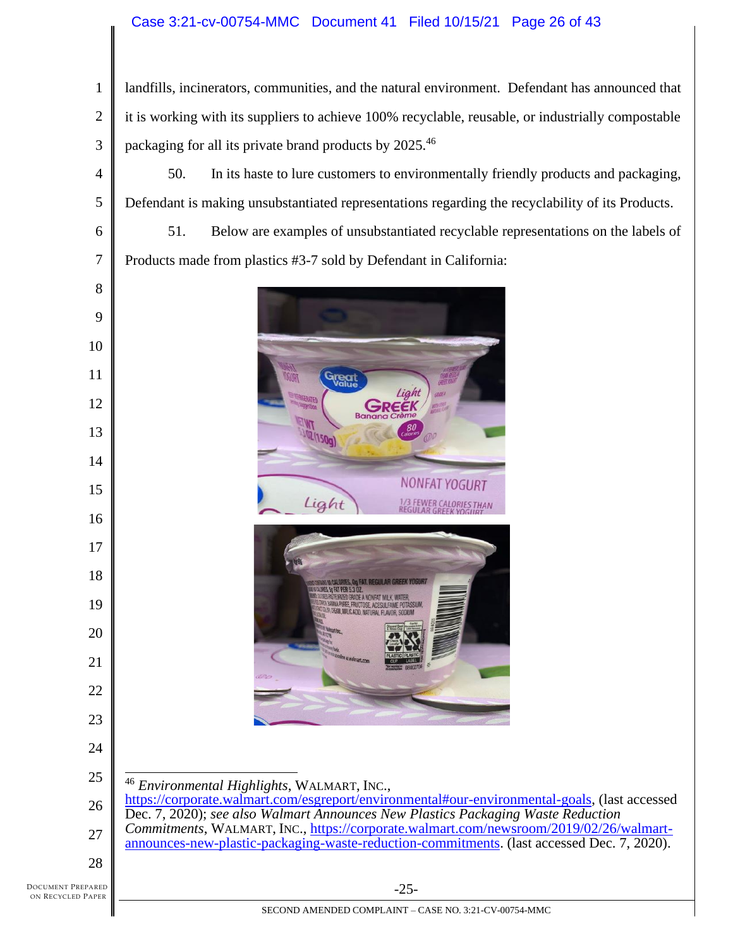# Case 3:21-cv-00754-MMC Document 41 Filed 10/15/21 Page 26 of 43

 landfills, incinerators, communities, and the natural environment. Defendant has announced that it is working with its suppliers to achieve 100% recyclable, reusable, or industrially compostable packaging for all its private brand products by 2025.<sup>46</sup>

50. In its haste to lure customers to environmentally friendly products and packaging, Defendant is making unsubstantiated representations regarding the recyclability of its Products.

51. Below are examples of unsubstantiated recyclable representations on the labels of Products made from plastics #3-7 sold by Defendant in California:





*Environmental Highlights*, WALMART, INC.,

 [https://corporate.walmart.com/esgreport/environmental#our-environmental-goals,](https://corporate.walmart.com/esgreport/environmental#our-environmental-goals) (last accessed Dec. 7, 2020); *see also Walmart Announces New Plastics Packaging Waste Reduction Commitments*, WALMART, INC., [https://corporate.walmart.com/newsroom/2019/02/26/walmart](https://corporate.walmart.com/newsroom/2019/02/26/walmart-announces-new-plastic-packaging-waste-reduction-commitments)[announces-new-plastic-packaging-waste-reduction-commitments.](https://corporate.walmart.com/newsroom/2019/02/26/walmart-announces-new-plastic-packaging-waste-reduction-commitments) (last accessed Dec. 7, 2020).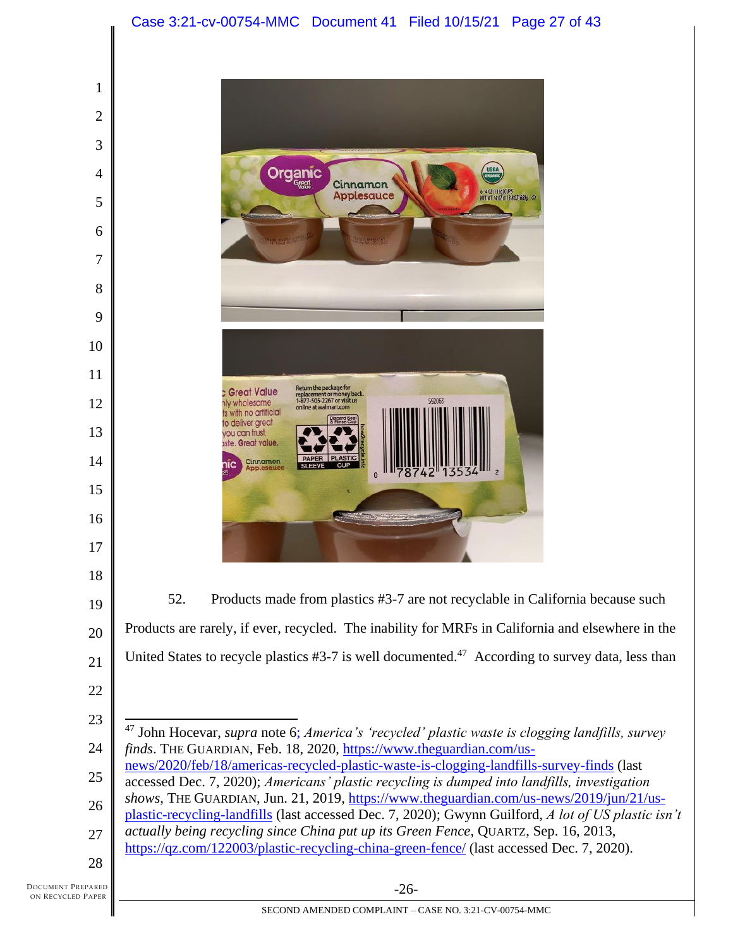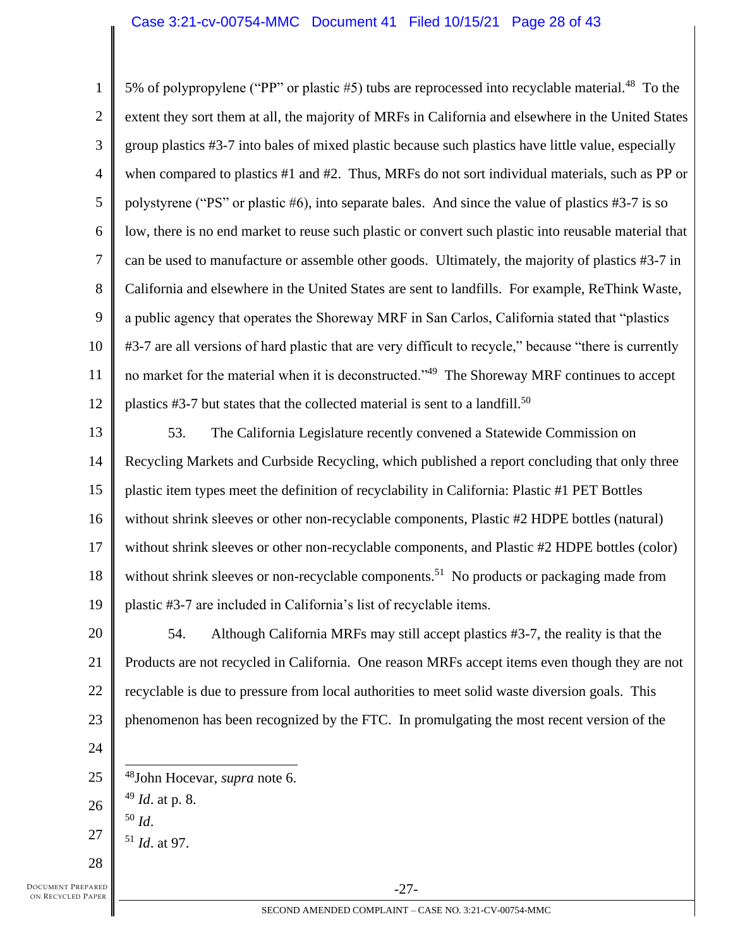## Case 3:21-cv-00754-MMC Document 41 Filed 10/15/21 Page 28 of 43

1 2 3 4 5 6 7 8 9 10 11 12 5% of polypropylene ("PP" or plastic  $#5$ ) tubs are reprocessed into recyclable material.<sup>48</sup> To the extent they sort them at all, the majority of MRFs in California and elsewhere in the United States group plastics #3-7 into bales of mixed plastic because such plastics have little value, especially when compared to plastics #1 and #2. Thus, MRFs do not sort individual materials, such as PP or polystyrene ("PS" or plastic #6), into separate bales. And since the value of plastics #3-7 is so low, there is no end market to reuse such plastic or convert such plastic into reusable material that can be used to manufacture or assemble other goods. Ultimately, the majority of plastics #3-7 in California and elsewhere in the United States are sent to landfills. For example, ReThink Waste, a public agency that operates the Shoreway MRF in San Carlos, California stated that "plastics #3-7 are all versions of hard plastic that are very difficult to recycle," because "there is currently no market for the material when it is deconstructed."<sup>49</sup> The Shoreway MRF continues to accept plastics  $#3-7$  but states that the collected material is sent to a landfill.<sup>50</sup>

13 14 15 16 17 18 19 53. The California Legislature recently convened a Statewide Commission on Recycling Markets and Curbside Recycling, which published a report concluding that only three plastic item types meet the definition of recyclability in California: Plastic #1 PET Bottles without shrink sleeves or other non-recyclable components, Plastic #2 HDPE bottles (natural) without shrink sleeves or other non-recyclable components, and Plastic #2 HDPE bottles (color) without shrink sleeves or non-recyclable components.<sup>51</sup> No products or packaging made from plastic #3-7 are included in California's list of recyclable items.

20 21 22 23 54. Although California MRFs may still accept plastics #3-7, the reality is that the Products are not recycled in California. One reason MRFs accept items even though they are not recyclable is due to pressure from local authorities to meet solid waste diversion goals. This phenomenon has been recognized by the FTC. In promulgating the most recent version of the

- 25 <sup>48</sup>John Hocevar*, supra* note 6.
- 26 27 <sup>49</sup> *Id*. at p. 8. <sup>50</sup> *Id*. <sup>51</sup> *Id*. at 97.

28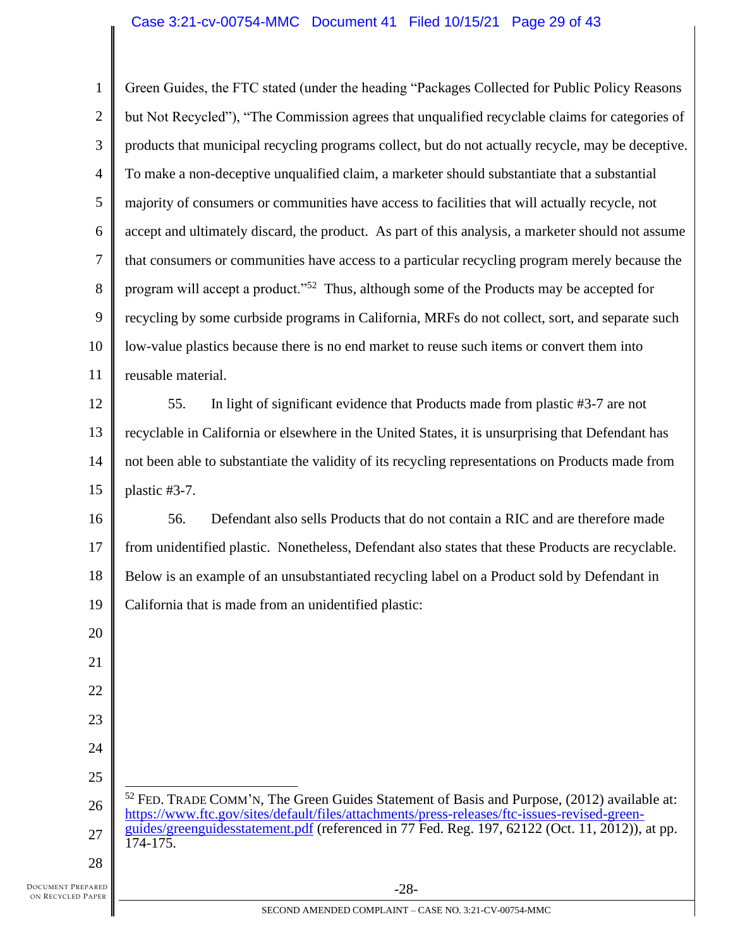## Case 3:21-cv-00754-MMC Document 41 Filed 10/15/21 Page 29 of 43

1 2 3 4 5 6 7 8 9 10 11 12 13 14 15 16 17 18 19 20 21 22 23 24 25 26 27 28 -28- Green Guides, the FTC stated (under the heading "Packages Collected for Public Policy Reasons but Not Recycled"), "The Commission agrees that unqualified recyclable claims for categories of products that municipal recycling programs collect, but do not actually recycle, may be deceptive. To make a non-deceptive unqualified claim, a marketer should substantiate that a substantial majority of consumers or communities have access to facilities that will actually recycle, not accept and ultimately discard, the product. As part of this analysis, a marketer should not assume that consumers or communities have access to a particular recycling program merely because the program will accept a product."<sup>52</sup> Thus, although some of the Products may be accepted for recycling by some curbside programs in California, MRFs do not collect, sort, and separate such low-value plastics because there is no end market to reuse such items or convert them into reusable material. 55. In light of significant evidence that Products made from plastic #3-7 are not recyclable in California or elsewhere in the United States, it is unsurprising that Defendant has not been able to substantiate the validity of its recycling representations on Products made from plastic #3-7. 56. Defendant also sells Products that do not contain a RIC and are therefore made from unidentified plastic. Nonetheless, Defendant also states that these Products are recyclable. Below is an example of an unsubstantiated recycling label on a Product sold by Defendant in California that is made from an unidentified plastic:  $52$  FED. TRADE COMM'N, The Green Guides Statement of Basis and Purpose, (2012) available at: [https://www.ftc.gov/sites/default/files/attachments/press-releases/ftc-issues-revised-green](https://www.ftc.gov/sites/default/files/attachments/press-releases/ftc-issues-revised-green-guides/greenguidesstatement.pdf)[guides/greenguidesstatement.pdf](https://www.ftc.gov/sites/default/files/attachments/press-releases/ftc-issues-revised-green-guides/greenguidesstatement.pdf) (referenced in 77 Fed. Reg. 197, 62122 (Oct. 11, 2012)), at pp. 174-175.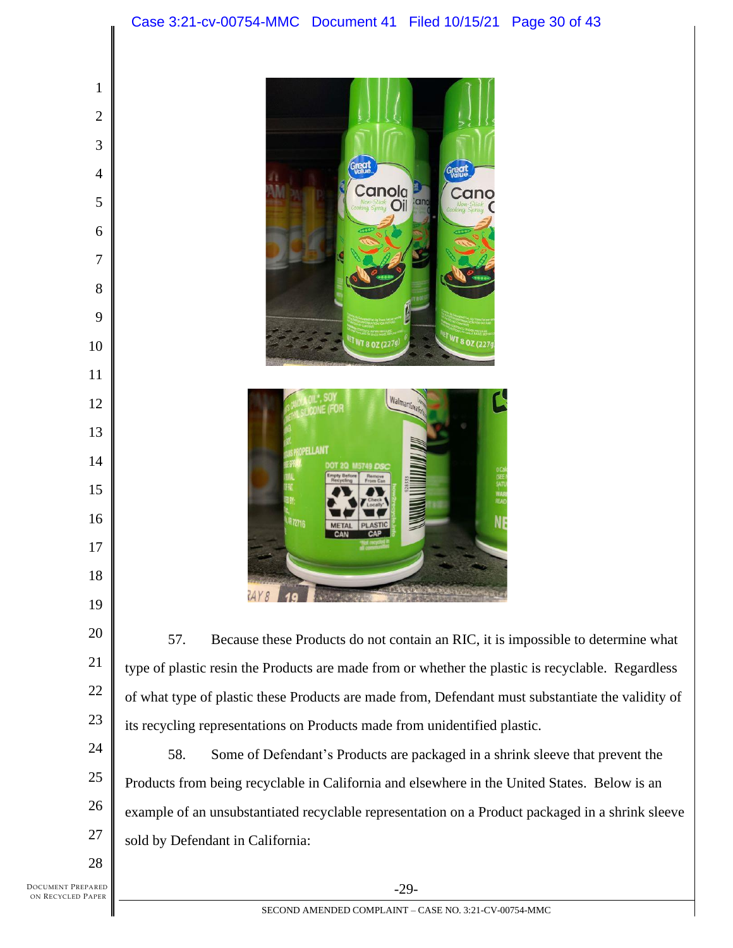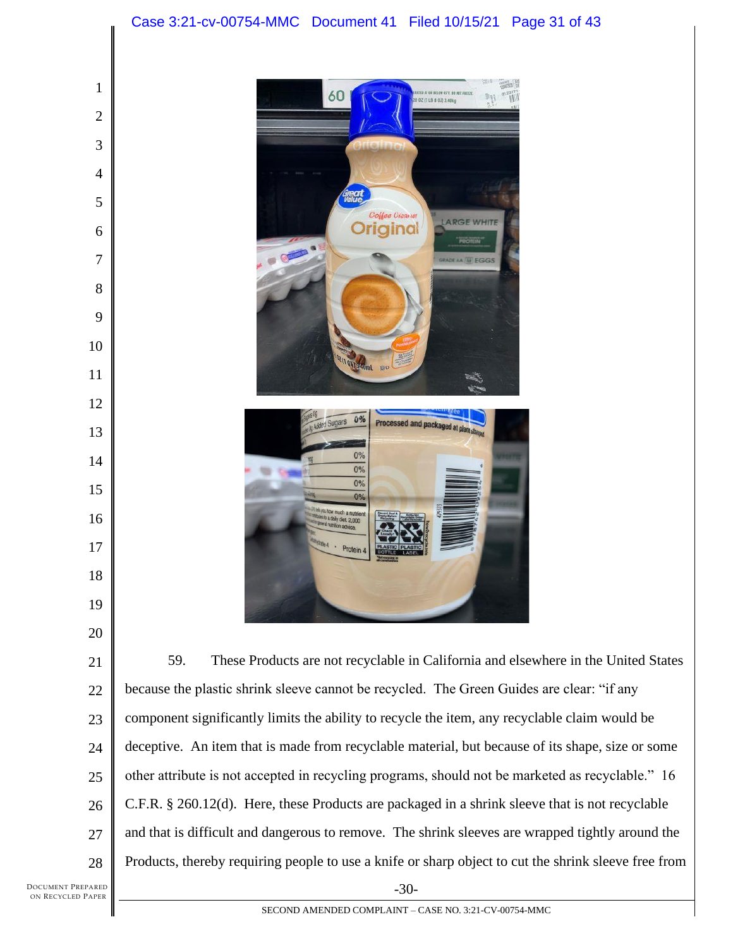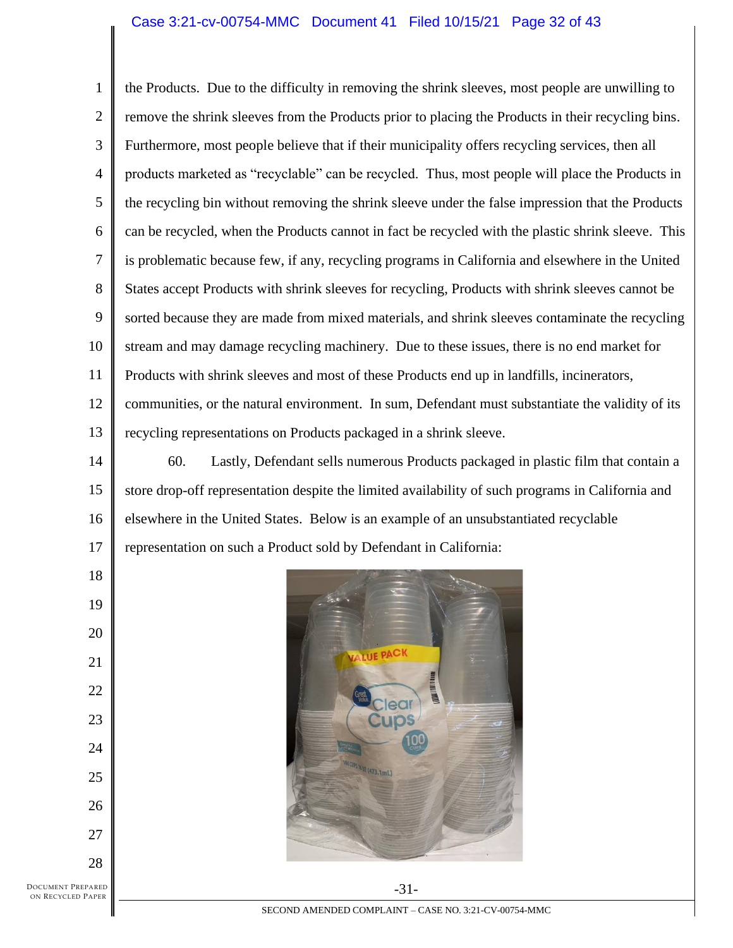## Case 3:21-cv-00754-MMC Document 41 Filed 10/15/21 Page 32 of 43

1 2 3 4 5 6 7 8 9 10 11 12 13 the Products. Due to the difficulty in removing the shrink sleeves, most people are unwilling to remove the shrink sleeves from the Products prior to placing the Products in their recycling bins. Furthermore, most people believe that if their municipality offers recycling services, then all products marketed as "recyclable" can be recycled. Thus, most people will place the Products in the recycling bin without removing the shrink sleeve under the false impression that the Products can be recycled, when the Products cannot in fact be recycled with the plastic shrink sleeve. This is problematic because few, if any, recycling programs in California and elsewhere in the United States accept Products with shrink sleeves for recycling, Products with shrink sleeves cannot be sorted because they are made from mixed materials, and shrink sleeves contaminate the recycling stream and may damage recycling machinery. Due to these issues, there is no end market for Products with shrink sleeves and most of these Products end up in landfills, incinerators, communities, or the natural environment. In sum, Defendant must substantiate the validity of its recycling representations on Products packaged in a shrink sleeve.

14 15 16 17 60. Lastly, Defendant sells numerous Products packaged in plastic film that contain a store drop-off representation despite the limited availability of such programs in California and elsewhere in the United States. Below is an example of an unsubstantiated recyclable representation on such a Product sold by Defendant in California:



DOCUMENT PREPARED ON RECYCLED PAPER

18

19

20

21

22

23

24

25

26

27

SECOND AMENDED COMPLAINT – CASE NO. 3:21-CV-00754-MMC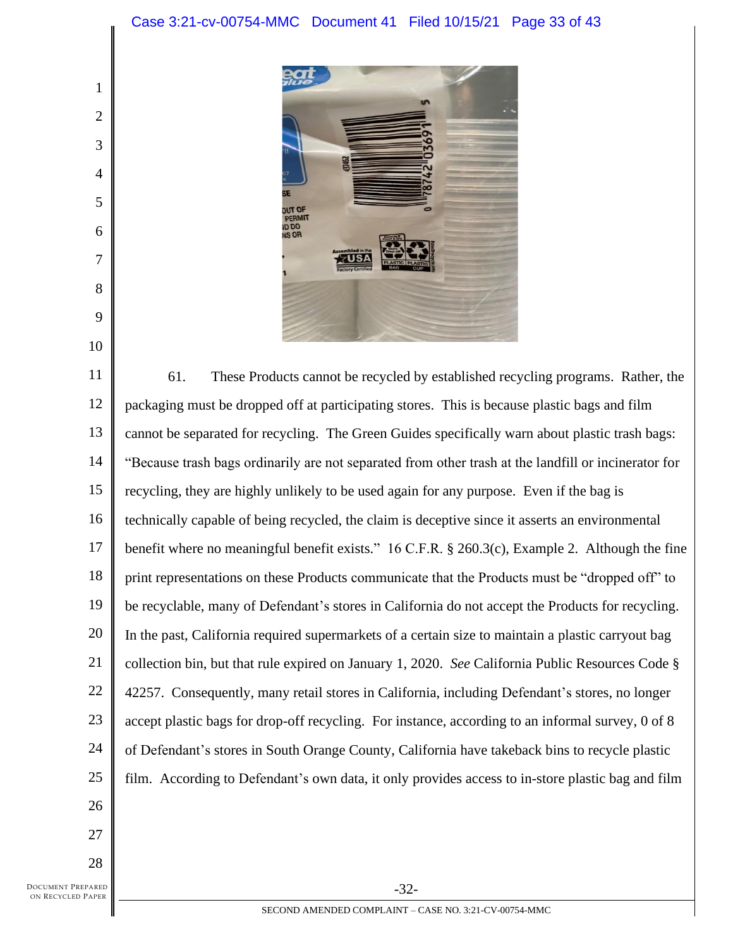# Case 3:21-cv-00754-MMC Document 41 Filed 10/15/21 Page 33 of 43



11 12 13 14 15 16 17 18 19 20 21 22 23 24 25 26 61. These Products cannot be recycled by established recycling programs. Rather, the packaging must be dropped off at participating stores. This is because plastic bags and film cannot be separated for recycling. The Green Guides specifically warn about plastic trash bags: "Because trash bags ordinarily are not separated from other trash at the landfill or incinerator for recycling, they are highly unlikely to be used again for any purpose. Even if the bag is technically capable of being recycled, the claim is deceptive since it asserts an environmental benefit where no meaningful benefit exists." 16 C.F.R. § 260.3(c), Example 2. Although the fine print representations on these Products communicate that the Products must be "dropped off" to be recyclable, many of Defendant's stores in California do not accept the Products for recycling. In the past, California required supermarkets of a certain size to maintain a plastic carryout bag collection bin, but that rule expired on January 1, 2020. *See* California Public Resources Code § 42257. Consequently, many retail stores in California, including Defendant's stores, no longer accept plastic bags for drop-off recycling. For instance, according to an informal survey, 0 of 8 of Defendant's stores in South Orange County, California have takeback bins to recycle plastic film. According to Defendant's own data, it only provides access to in-store plastic bag and film

27

28

1

2

3

4

5

6

7

8

9

10

DOCUMENT PREPARED ON RECYCLED PAPER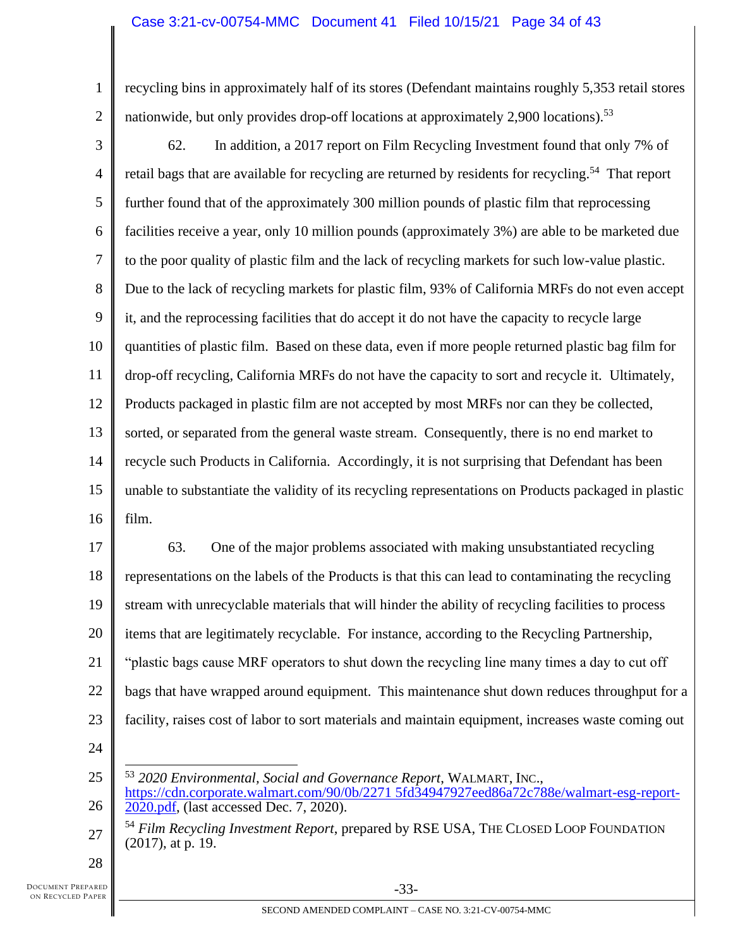1 2 recycling bins in approximately half of its stores (Defendant maintains roughly 5,353 retail stores nationwide, but only provides drop-off locations at approximately 2,900 locations).<sup>53</sup>

3 4 5 6 7 8 9 10 11 12 13 14 15 16 62. In addition, a 2017 report on Film Recycling Investment found that only 7% of retail bags that are available for recycling are returned by residents for recycling.<sup>54</sup> That report further found that of the approximately 300 million pounds of plastic film that reprocessing facilities receive a year, only 10 million pounds (approximately 3%) are able to be marketed due to the poor quality of plastic film and the lack of recycling markets for such low-value plastic. Due to the lack of recycling markets for plastic film, 93% of California MRFs do not even accept it, and the reprocessing facilities that do accept it do not have the capacity to recycle large quantities of plastic film. Based on these data, even if more people returned plastic bag film for drop-off recycling, California MRFs do not have the capacity to sort and recycle it. Ultimately, Products packaged in plastic film are not accepted by most MRFs nor can they be collected, sorted, or separated from the general waste stream. Consequently, there is no end market to recycle such Products in California. Accordingly, it is not surprising that Defendant has been unable to substantiate the validity of its recycling representations on Products packaged in plastic film.

17 18 19 20 21 22 23 63. One of the major problems associated with making unsubstantiated recycling representations on the labels of the Products is that this can lead to contaminating the recycling stream with unrecyclable materials that will hinder the ability of recycling facilities to process items that are legitimately recyclable. For instance, according to the Recycling Partnership, "plastic bags cause MRF operators to shut down the recycling line many times a day to cut off bags that have wrapped around equipment. This maintenance shut down reduces throughput for a facility, raises cost of labor to sort materials and maintain equipment, increases waste coming out

24

25 26 <sup>53</sup> *2020 Environmental, Social and Governance Report*, WALMART, INC., [https://cdn.corporate.walmart.com/90/0b/2271 5fd34947927eed86a72c788e/walmart-esg-report-](https://cdn.corporate.walmart.com/90/0b/2271%205fd34947927eed86a72c788e/walmart-esg-report-2020.pdf)[2020.pdf,](https://cdn.corporate.walmart.com/90/0b/2271%205fd34947927eed86a72c788e/walmart-esg-report-2020.pdf) (last accessed Dec. 7, 2020).

27 <sup>54</sup> *Film Recycling Investment Report*, prepared by RSE USA, THE CLOSED LOOP FOUNDATION (2017), at p. 19.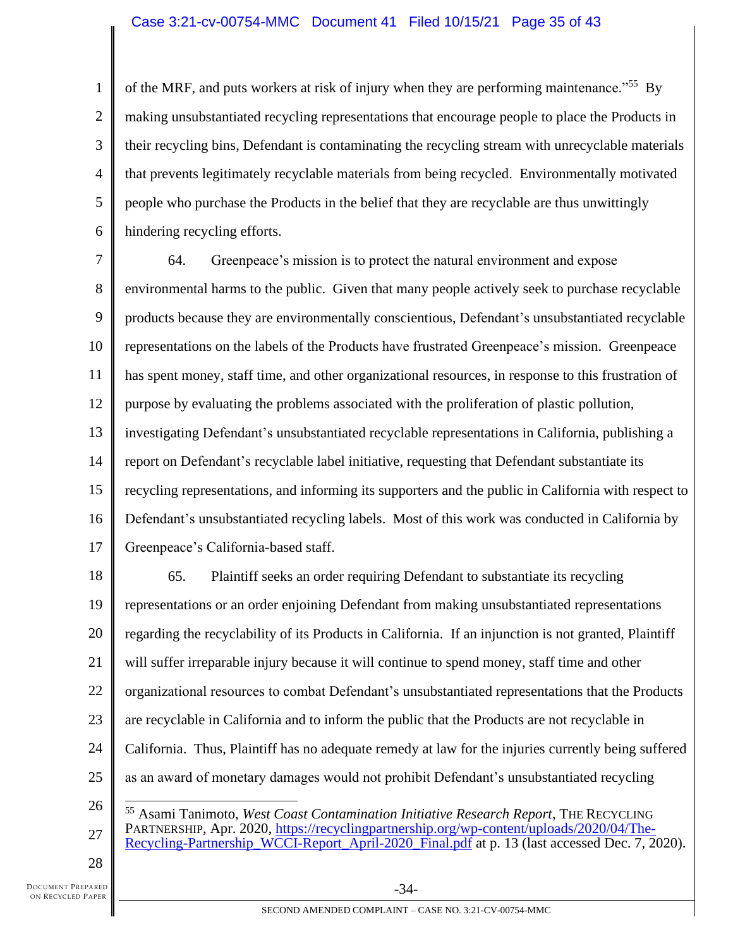## Case 3:21-cv-00754-MMC Document 41 Filed 10/15/21 Page 35 of 43

1 2 3 4 5 6 of the MRF, and puts workers at risk of injury when they are performing maintenance."<sup>55</sup> By making unsubstantiated recycling representations that encourage people to place the Products in their recycling bins, Defendant is contaminating the recycling stream with unrecyclable materials that prevents legitimately recyclable materials from being recycled. Environmentally motivated people who purchase the Products in the belief that they are recyclable are thus unwittingly hindering recycling efforts.

7 8 9 10 11 12 13 14 15 16 17 64. Greenpeace's mission is to protect the natural environment and expose environmental harms to the public. Given that many people actively seek to purchase recyclable products because they are environmentally conscientious, Defendant's unsubstantiated recyclable representations on the labels of the Products have frustrated Greenpeace's mission. Greenpeace has spent money, staff time, and other organizational resources, in response to this frustration of purpose by evaluating the problems associated with the proliferation of plastic pollution, investigating Defendant's unsubstantiated recyclable representations in California, publishing a report on Defendant's recyclable label initiative, requesting that Defendant substantiate its recycling representations, and informing its supporters and the public in California with respect to Defendant's unsubstantiated recycling labels. Most of this work was conducted in California by Greenpeace's California-based staff.

18 19 20 21 22 23 24 25 65. Plaintiff seeks an order requiring Defendant to substantiate its recycling representations or an order enjoining Defendant from making unsubstantiated representations regarding the recyclability of its Products in California. If an injunction is not granted, Plaintiff will suffer irreparable injury because it will continue to spend money, staff time and other organizational resources to combat Defendant's unsubstantiated representations that the Products are recyclable in California and to inform the public that the Products are not recyclable in California. Thus, Plaintiff has no adequate remedy at law for the injuries currently being suffered as an award of monetary damages would not prohibit Defendant's unsubstantiated recycling

<sup>26</sup> 27 <sup>55</sup> Asami Tanimoto, *West Coast Contamination Initiative Research Report*, THE RECYCLING PARTNERSHIP, Apr. 2020, [https://recyclingpartnership.org/wp-content/uploads/2020/04/The-](https://recyclingpartnership.org/wp-content/uploads/2020/04/The-Recycling-Partnership_WCCI-Report_April-2020_Final.pdf)[Recycling-Partnership\\_WCCI-Report\\_April-2020\\_Final.pdf](https://recyclingpartnership.org/wp-content/uploads/2020/04/The-Recycling-Partnership_WCCI-Report_April-2020_Final.pdf) at p. 13 (last accessed Dec. 7, 2020).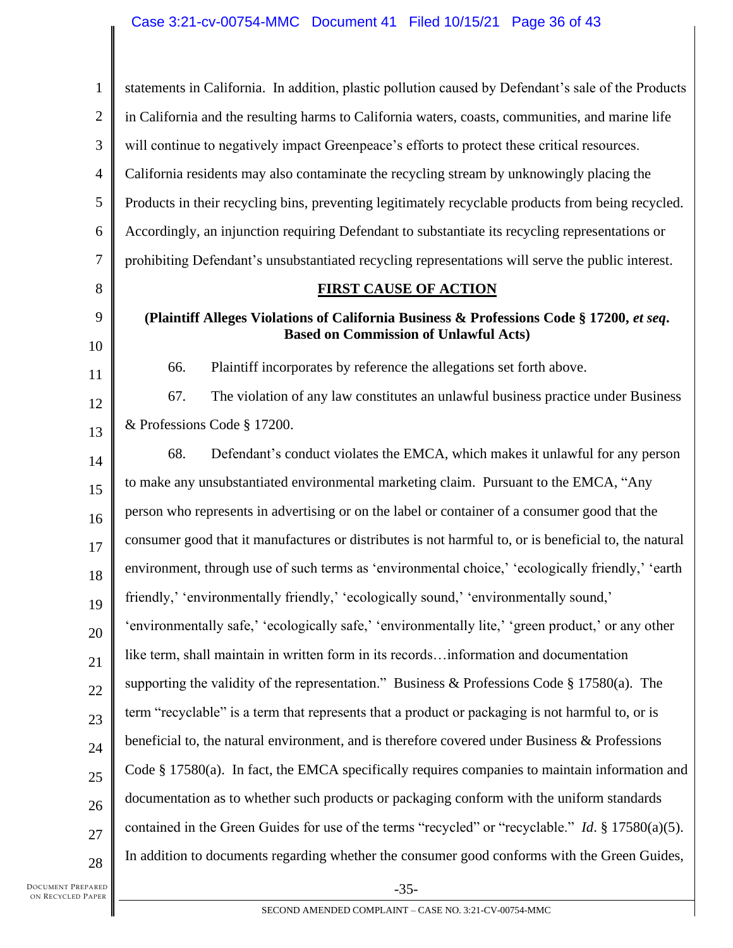1 2 3 4 5 6 7 8 9 10 11 12 13 14 15 16 17 18 19 20 21 22 23 24 25 26 27 28 statements in California. In addition, plastic pollution caused by Defendant's sale of the Products in California and the resulting harms to California waters, coasts, communities, and marine life will continue to negatively impact Greenpeace's efforts to protect these critical resources. California residents may also contaminate the recycling stream by unknowingly placing the Products in their recycling bins, preventing legitimately recyclable products from being recycled. Accordingly, an injunction requiring Defendant to substantiate its recycling representations or prohibiting Defendant's unsubstantiated recycling representations will serve the public interest. **FIRST CAUSE OF ACTION (Plaintiff Alleges Violations of California Business & Professions Code § 17200,** *et seq***. Based on Commission of Unlawful Acts)** 66. Plaintiff incorporates by reference the allegations set forth above. 67. The violation of any law constitutes an unlawful business practice under Business & Professions Code § 17200. 68. Defendant's conduct violates the EMCA, which makes it unlawful for any person to make any unsubstantiated environmental marketing claim. Pursuant to the EMCA, "Any person who represents in advertising or on the label or container of a consumer good that the consumer good that it manufactures or distributes is not harmful to, or is beneficial to, the natural environment, through use of such terms as 'environmental choice,' 'ecologically friendly,' 'earth friendly,' 'environmentally friendly,' 'ecologically sound,' 'environmentally sound,' 'environmentally safe,' 'ecologically safe,' 'environmentally lite,' 'green product,' or any other like term, shall maintain in written form in its records…information and documentation supporting the validity of the representation." Business & Professions Code § 17580(a). The term "recyclable" is a term that represents that a product or packaging is not harmful to, or is beneficial to, the natural environment, and is therefore covered under Business & Professions Code § 17580(a). In fact, the EMCA specifically requires companies to maintain information and documentation as to whether such products or packaging conform with the uniform standards contained in the Green Guides for use of the terms "recycled" or "recyclable." *Id*. § 17580(a)(5). In addition to documents regarding whether the consumer good conforms with the Green Guides,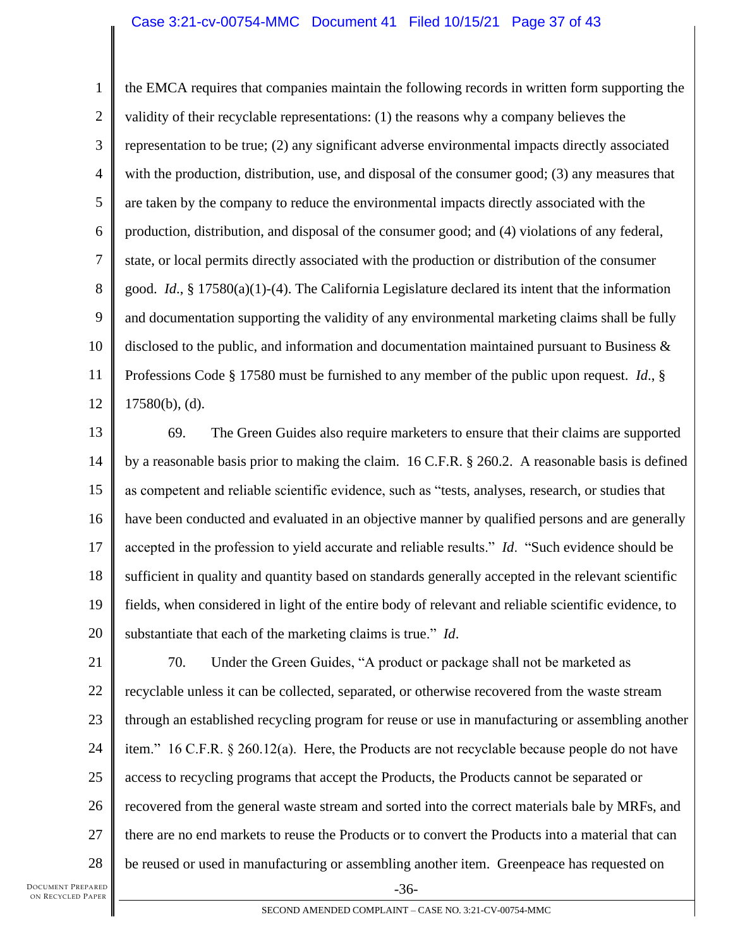1 2 3 4 5 6 7 8 9 10 11 12 the EMCA requires that companies maintain the following records in written form supporting the validity of their recyclable representations: (1) the reasons why a company believes the representation to be true; (2) any significant adverse environmental impacts directly associated with the production, distribution, use, and disposal of the consumer good; (3) any measures that are taken by the company to reduce the environmental impacts directly associated with the production, distribution, and disposal of the consumer good; and (4) violations of any federal, state, or local permits directly associated with the production or distribution of the consumer good. *Id*., § 17580(a)(1)-(4). The California Legislature declared its intent that the information and documentation supporting the validity of any environmental marketing claims shall be fully disclosed to the public, and information and documentation maintained pursuant to Business & Professions Code § 17580 must be furnished to any member of the public upon request. *Id*., § 17580(b), (d).

13 14 15 16 17 18 19 20 69. The Green Guides also require marketers to ensure that their claims are supported by a reasonable basis prior to making the claim. 16 C.F.R. § 260.2. A reasonable basis is defined as competent and reliable scientific evidence, such as "tests, analyses, research, or studies that have been conducted and evaluated in an objective manner by qualified persons and are generally accepted in the profession to yield accurate and reliable results." *Id*. "Such evidence should be sufficient in quality and quantity based on standards generally accepted in the relevant scientific fields, when considered in light of the entire body of relevant and reliable scientific evidence, to substantiate that each of the marketing claims is true." *Id*.

21 22 23 24 25 26 27 28 -36- 70. Under the Green Guides, "A product or package shall not be marketed as recyclable unless it can be collected, separated, or otherwise recovered from the waste stream through an established recycling program for reuse or use in manufacturing or assembling another item." 16 C.F.R. § 260.12(a). Here, the Products are not recyclable because people do not have access to recycling programs that accept the Products, the Products cannot be separated or recovered from the general waste stream and sorted into the correct materials bale by MRFs, and there are no end markets to reuse the Products or to convert the Products into a material that can be reused or used in manufacturing or assembling another item. Greenpeace has requested on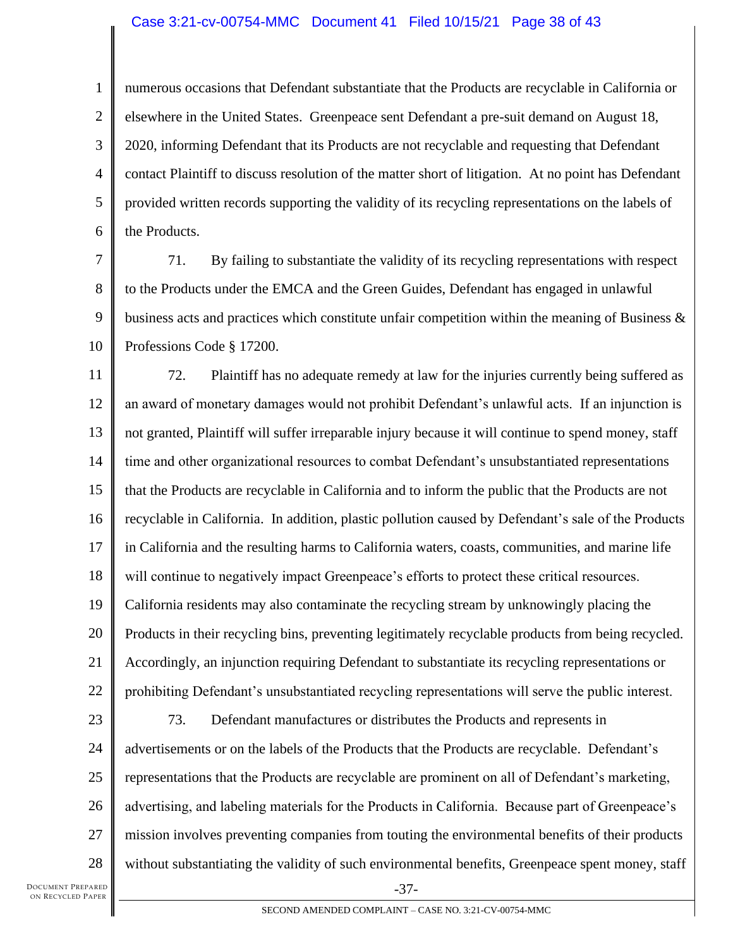#### Case 3:21-cv-00754-MMC Document 41 Filed 10/15/21 Page 38 of 43

1 2 3 4 5 6 numerous occasions that Defendant substantiate that the Products are recyclable in California or elsewhere in the United States. Greenpeace sent Defendant a pre-suit demand on August 18, 2020, informing Defendant that its Products are not recyclable and requesting that Defendant contact Plaintiff to discuss resolution of the matter short of litigation. At no point has Defendant provided written records supporting the validity of its recycling representations on the labels of the Products.

7 8 9 10 71. By failing to substantiate the validity of its recycling representations with respect to the Products under the EMCA and the Green Guides, Defendant has engaged in unlawful business acts and practices which constitute unfair competition within the meaning of Business  $\&$ Professions Code § 17200.

11 12 13 14 15 16 17 18 19 20 21 22 23 24 25 26 72. Plaintiff has no adequate remedy at law for the injuries currently being suffered as an award of monetary damages would not prohibit Defendant's unlawful acts. If an injunction is not granted, Plaintiff will suffer irreparable injury because it will continue to spend money, staff time and other organizational resources to combat Defendant's unsubstantiated representations that the Products are recyclable in California and to inform the public that the Products are not recyclable in California. In addition, plastic pollution caused by Defendant's sale of the Products in California and the resulting harms to California waters, coasts, communities, and marine life will continue to negatively impact Greenpeace's efforts to protect these critical resources. California residents may also contaminate the recycling stream by unknowingly placing the Products in their recycling bins, preventing legitimately recyclable products from being recycled. Accordingly, an injunction requiring Defendant to substantiate its recycling representations or prohibiting Defendant's unsubstantiated recycling representations will serve the public interest. 73. Defendant manufactures or distributes the Products and represents in advertisements or on the labels of the Products that the Products are recyclable. Defendant's representations that the Products are recyclable are prominent on all of Defendant's marketing, advertising, and labeling materials for the Products in California. Because part of Greenpeace's

28 without substantiating the validity of such environmental benefits, Greenpeace spent money, staff

mission involves preventing companies from touting the environmental benefits of their products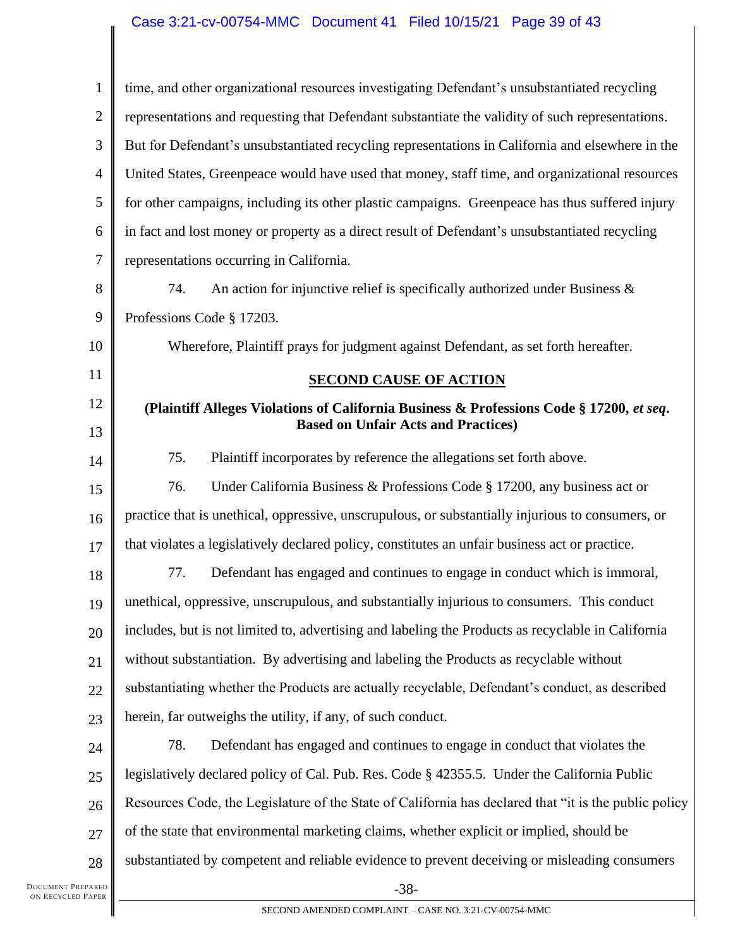| $\mathbf{1}$   | time, and other organizational resources investigating Defendant's unsubstantiated recycling          |
|----------------|-------------------------------------------------------------------------------------------------------|
| $\overline{2}$ | representations and requesting that Defendant substantiate the validity of such representations.      |
| 3              | But for Defendant's unsubstantiated recycling representations in California and elsewhere in the      |
| $\overline{4}$ | United States, Greenpeace would have used that money, staff time, and organizational resources        |
| 5              | for other campaigns, including its other plastic campaigns. Greenpeace has thus suffered injury       |
| 6              | in fact and lost money or property as a direct result of Defendant's unsubstantiated recycling        |
| 7              | representations occurring in California.                                                              |
| 8              | 74.<br>An action for injunctive relief is specifically authorized under Business $\&$                 |
| 9              | Professions Code § 17203.                                                                             |
| 10             | Wherefore, Plaintiff prays for judgment against Defendant, as set forth hereafter.                    |
| 11             | <b>SECOND CAUSE OF ACTION</b>                                                                         |
| 12             | (Plaintiff Alleges Violations of California Business & Professions Code § 17200, et seq.              |
| 13             | <b>Based on Unfair Acts and Practices)</b>                                                            |
| 14             | Plaintiff incorporates by reference the allegations set forth above.<br>75.                           |
| 15             | 76.<br>Under California Business & Professions Code § 17200, any business act or                      |
| 16             | practice that is unethical, oppressive, unscrupulous, or substantially injurious to consumers, or     |
| 17             | that violates a legislatively declared policy, constitutes an unfair business act or practice.        |
| 18             | 77.<br>Defendant has engaged and continues to engage in conduct which is immoral,                     |
| 19             | unethical, oppressive, unscrupulous, and substantially injurious to consumers. This conduct           |
| 20             | includes, but is not limited to, advertising and labeling the Products as recyclable in California    |
| 21             | without substantiation. By advertising and labeling the Products as recyclable without                |
| 22             | substantiating whether the Products are actually recyclable, Defendant's conduct, as described        |
| 23             | herein, far outweighs the utility, if any, of such conduct.                                           |
| 24             | 78.<br>Defendant has engaged and continues to engage in conduct that violates the                     |
| 25             | legislatively declared policy of Cal. Pub. Res. Code § 42355.5. Under the California Public           |
| 26             | Resources Code, the Legislature of the State of California has declared that "it is the public policy |
| 27             | of the state that environmental marketing claims, whether explicit or implied, should be              |
| 28             | substantiated by competent and reliable evidence to prevent deceiving or misleading consumers         |
| PARED<br>PAPER | $-38-$                                                                                                |
|                | SECOND AMENDED COMPLAINT - CASE NO. 3:21-CV-00754-MMC                                                 |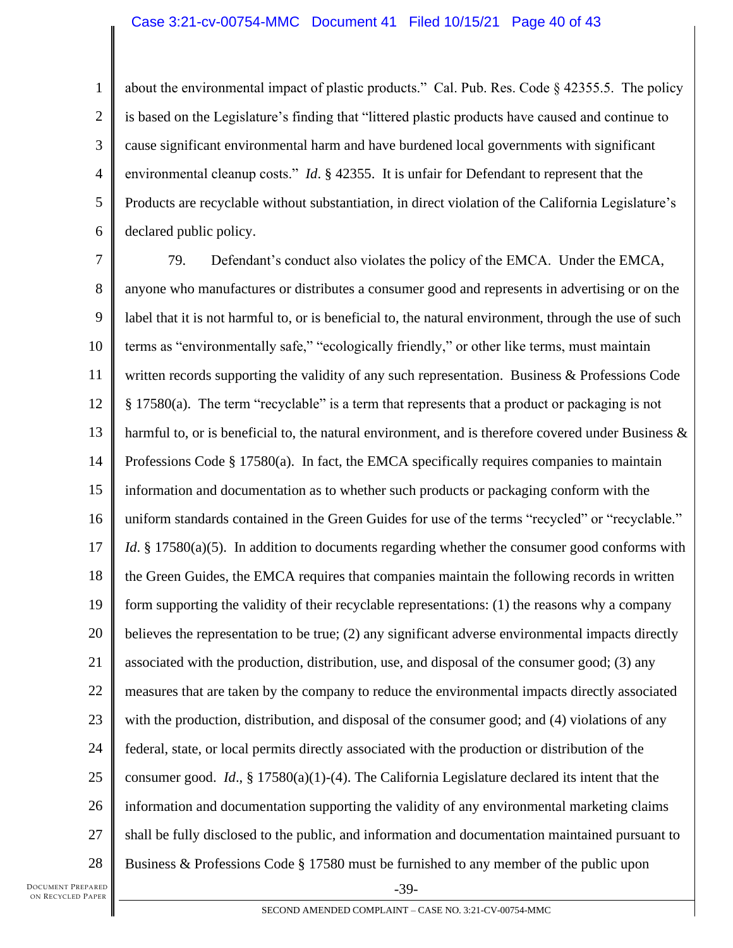1 2 3 4 5 6 about the environmental impact of plastic products." Cal. Pub. Res. Code § 42355.5. The policy is based on the Legislature's finding that "littered plastic products have caused and continue to cause significant environmental harm and have burdened local governments with significant environmental cleanup costs." *Id*. § 42355. It is unfair for Defendant to represent that the Products are recyclable without substantiation, in direct violation of the California Legislature's declared public policy.

7 8 9 10 11 12 13 14 15 16 17 18 19 20 21 22 23 24 25 26 27 28 79. Defendant's conduct also violates the policy of the EMCA. Under the EMCA, anyone who manufactures or distributes a consumer good and represents in advertising or on the label that it is not harmful to, or is beneficial to, the natural environment, through the use of such terms as "environmentally safe," "ecologically friendly," or other like terms, must maintain written records supporting the validity of any such representation. Business & Professions Code § 17580(a). The term "recyclable" is a term that represents that a product or packaging is not harmful to, or is beneficial to, the natural environment, and is therefore covered under Business  $\&$ Professions Code  $\S 17580(a)$ . In fact, the EMCA specifically requires companies to maintain information and documentation as to whether such products or packaging conform with the uniform standards contained in the Green Guides for use of the terms "recycled" or "recyclable." *Id*. § 17580(a)(5). In addition to documents regarding whether the consumer good conforms with the Green Guides, the EMCA requires that companies maintain the following records in written form supporting the validity of their recyclable representations: (1) the reasons why a company believes the representation to be true; (2) any significant adverse environmental impacts directly associated with the production, distribution, use, and disposal of the consumer good; (3) any measures that are taken by the company to reduce the environmental impacts directly associated with the production, distribution, and disposal of the consumer good; and (4) violations of any federal, state, or local permits directly associated with the production or distribution of the consumer good. *Id*., § 17580(a)(1)-(4). The California Legislature declared its intent that the information and documentation supporting the validity of any environmental marketing claims shall be fully disclosed to the public, and information and documentation maintained pursuant to Business & Professions Code § 17580 must be furnished to any member of the public upon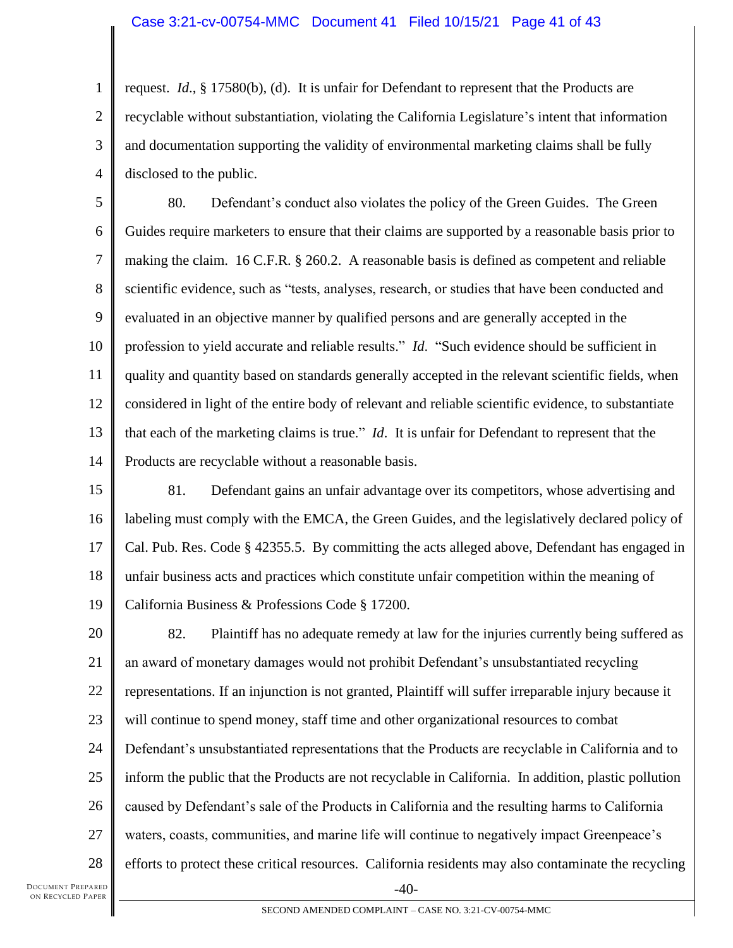1 2 3 4 request. *Id*., § 17580(b), (d). It is unfair for Defendant to represent that the Products are recyclable without substantiation, violating the California Legislature's intent that information and documentation supporting the validity of environmental marketing claims shall be fully disclosed to the public.

5 6 7 8 9 10 11 12 13 14 80. Defendant's conduct also violates the policy of the Green Guides. The Green Guides require marketers to ensure that their claims are supported by a reasonable basis prior to making the claim. 16 C.F.R. § 260.2. A reasonable basis is defined as competent and reliable scientific evidence, such as "tests, analyses, research, or studies that have been conducted and evaluated in an objective manner by qualified persons and are generally accepted in the profession to yield accurate and reliable results." *Id*. "Such evidence should be sufficient in quality and quantity based on standards generally accepted in the relevant scientific fields, when considered in light of the entire body of relevant and reliable scientific evidence, to substantiate that each of the marketing claims is true." *Id*. It is unfair for Defendant to represent that the Products are recyclable without a reasonable basis.

15 16 17 18 19 81. Defendant gains an unfair advantage over its competitors, whose advertising and labeling must comply with the EMCA, the Green Guides, and the legislatively declared policy of Cal. Pub. Res. Code § 42355.5. By committing the acts alleged above, Defendant has engaged in unfair business acts and practices which constitute unfair competition within the meaning of California Business & Professions Code § 17200.

20 21 22 23 24 25 26 27 28 -40- 82. Plaintiff has no adequate remedy at law for the injuries currently being suffered as an award of monetary damages would not prohibit Defendant's unsubstantiated recycling representations. If an injunction is not granted, Plaintiff will suffer irreparable injury because it will continue to spend money, staff time and other organizational resources to combat Defendant's unsubstantiated representations that the Products are recyclable in California and to inform the public that the Products are not recyclable in California. In addition, plastic pollution caused by Defendant's sale of the Products in California and the resulting harms to California waters, coasts, communities, and marine life will continue to negatively impact Greenpeace's efforts to protect these critical resources. California residents may also contaminate the recycling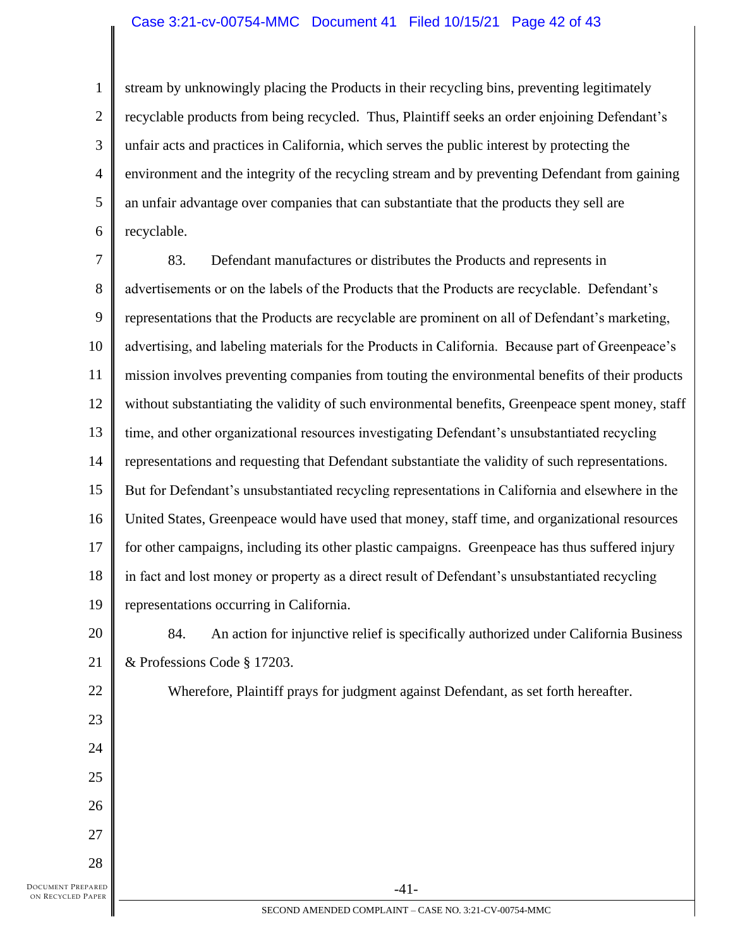#### Case 3:21-cv-00754-MMC Document 41 Filed 10/15/21 Page 42 of 43

1 2 3 4 5 6 stream by unknowingly placing the Products in their recycling bins, preventing legitimately recyclable products from being recycled. Thus, Plaintiff seeks an order enjoining Defendant's unfair acts and practices in California, which serves the public interest by protecting the environment and the integrity of the recycling stream and by preventing Defendant from gaining an unfair advantage over companies that can substantiate that the products they sell are recyclable.

7 8 9 10 11 12 13 14 15 16 17 18 19 20 83. Defendant manufactures or distributes the Products and represents in advertisements or on the labels of the Products that the Products are recyclable. Defendant's representations that the Products are recyclable are prominent on all of Defendant's marketing, advertising, and labeling materials for the Products in California. Because part of Greenpeace's mission involves preventing companies from touting the environmental benefits of their products without substantiating the validity of such environmental benefits, Greenpeace spent money, staff time, and other organizational resources investigating Defendant's unsubstantiated recycling representations and requesting that Defendant substantiate the validity of such representations. But for Defendant's unsubstantiated recycling representations in California and elsewhere in the United States, Greenpeace would have used that money, staff time, and organizational resources for other campaigns, including its other plastic campaigns. Greenpeace has thus suffered injury in fact and lost money or property as a direct result of Defendant's unsubstantiated recycling representations occurring in California. 84. An action for injunctive relief is specifically authorized under California Business

21 & Professions Code § 17203.

22

23

24

25

26

27

28

Wherefore, Plaintiff prays for judgment against Defendant, as set forth hereafter.

DOCUMENT PREPARED ON RECYCLED PAPER